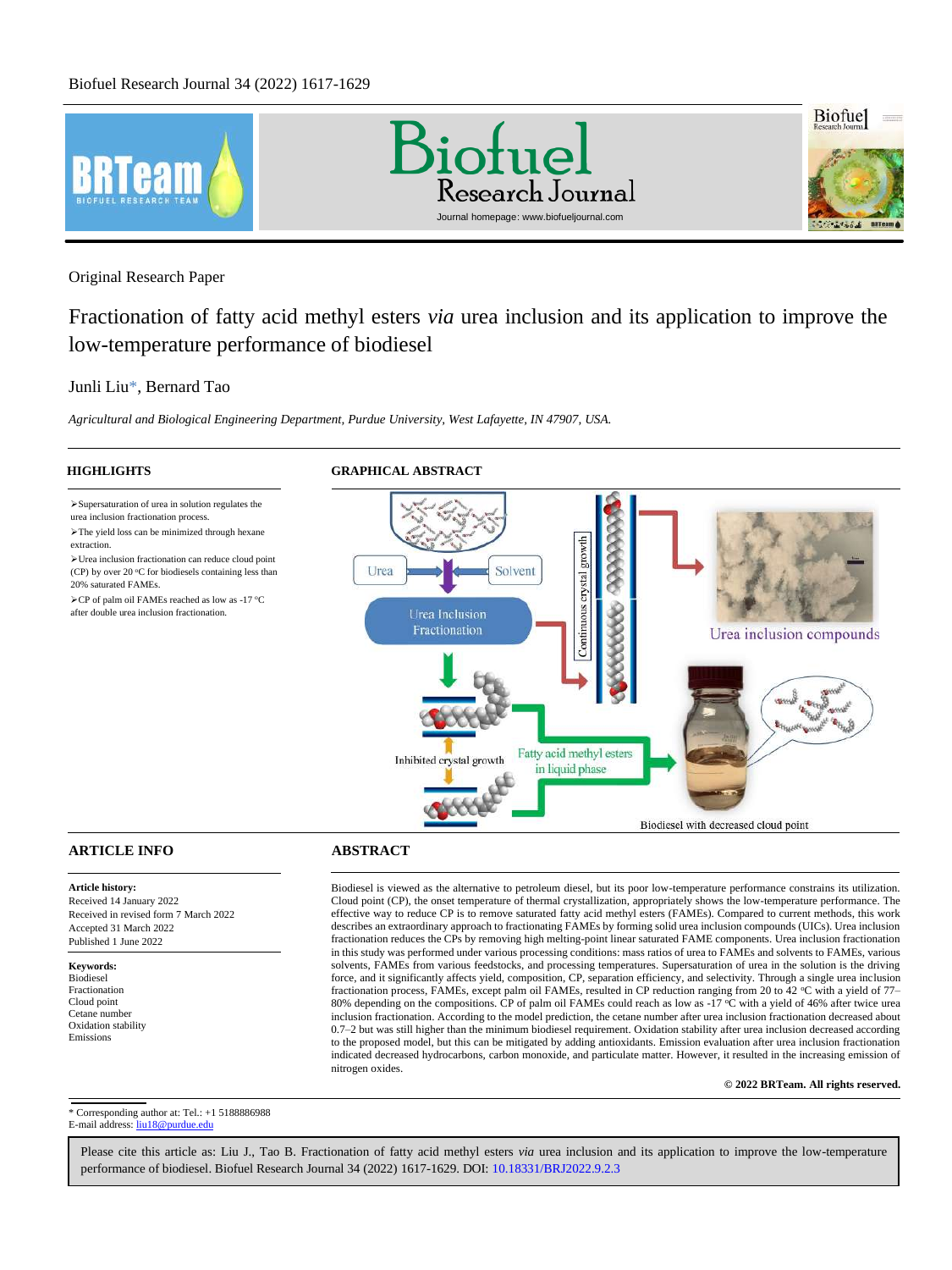

Original Research Paper

Fractionation of fatty acid methyl esters *via* urea inclusion and its application to improve the low-temperature performance of biodiesel

# [Junli Liu](#page-12-0)[\\*,](#page-0-0) [Bernard Tao](#page-12-1)

➢Supersaturation of urea in solution regulates the urea inclusion fractionation process. ➢The yield loss can be minimized through hexane

➢Urea inclusion fractionation can reduce cloud point (CP) by over 20  $^{\circ}$ C for biodiesels containing less than

 $\angle$ CP of palm oil FAMEs reached as low as -17 °C after double urea inclusion fractionation.

*Agricultural and Biological Engineering Department, Purdue University, West Lafayette, IN 47907, USA.*

20% saturated FAMEs.

extraction.

**HIGHLIGHTS GRAPHICAL ABSTRACT**



# **ARTICLE INFO ABSTRACT**

**Article history:** Received 14 January 2022 Received in revised form 7 March 2022 Accepted 31 March 2022 Published 1 June 2022

**Keywords:** Biodiesel Fractionation Cloud point Cetane number Oxidation stability Emissions

Biodiesel is viewed as the alternative to petroleum diesel, but its poor low-temperature performance constrains its utilization. Cloud point (CP), the onset temperature of thermal crystallization, appropriately shows the low-temperature performance. The effective way to reduce CP is to remove saturated fatty acid methyl esters (FAMEs). Compared to current methods, this work describes an extraordinary approach to fractionating FAMEs by forming solid urea inclusion compounds (UICs). Urea inclusion fractionation reduces the CPs by removing high melting-point linear saturated FAME components. Urea inclusion fractionation in this study was performed under various processing conditions: mass ratios of urea to FAMEs and solvents to FAMEs, various solvents, FAMEs from various feedstocks, and processing temperatures. Supersaturation of urea in the solution is the driving force, and it significantly affects yield, composition, CP, separation efficiency, and selectivity. Through a single urea inclusion fractionation process, FAMEs, except palm oil FAMEs, resulted in CP reduction ranging from 20 to 42 °C with a yield of 77– 80% depending on the compositions. CP of palm oil FAMEs could reach as low as -17 °C with a yield of 46% after twice urea inclusion fractionation. According to the model prediction, the cetane number after urea inclusion fractionation decreased about 0.7–2 but was still higher than the minimum biodiesel requirement. Oxidation stability after urea inclusion decreased according to the proposed model, but this can be mitigated by adding antioxidants. Emission evaluation after urea inclusion fractionation indicated decreased hydrocarbons, carbon monoxide, and particulate matter. However, it resulted in the increasing emission of nitrogen oxides. 

**© 2022 BRTeam. All rights reserved.**

<span id="page-0-0"></span>\* Corresponding author at: Tel.: +1 5188886988 E-mail address: liu18@purdue.edu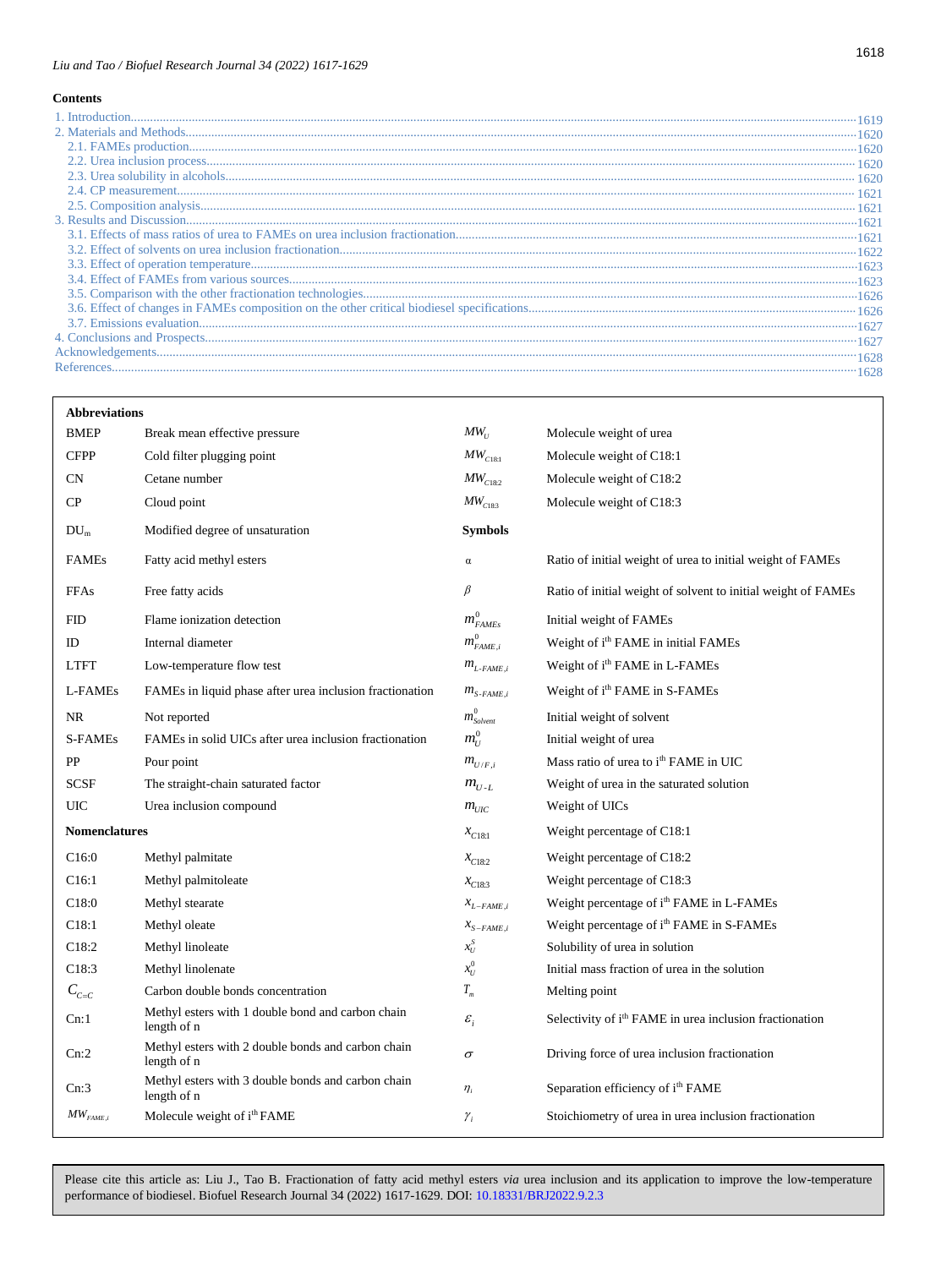# *Liu and Tao / Biofuel Research Journal 34 (2022) 1617-1629*

# **Contents**

| <b>Abbreviations</b> |                                                                   |                                               |                                                                     |
|----------------------|-------------------------------------------------------------------|-----------------------------------------------|---------------------------------------------------------------------|
| <b>BMEP</b>          | Break mean effective pressure                                     | $MW_{U}$                                      | Molecule weight of urea                                             |
| <b>CFPP</b>          | Cold filter plugging point                                        | $MW_{C18:1}$                                  | Molecule weight of C18:1                                            |
| <b>CN</b>            | Cetane number                                                     | $MW_{C18:2}$                                  | Molecule weight of C18:2                                            |
| CP                   | Cloud point                                                       | $MW_{C18:3}$                                  | Molecule weight of C18:3                                            |
| $DU_m$               | Modified degree of unsaturation                                   | <b>Symbols</b>                                |                                                                     |
| <b>FAMEs</b>         | Fatty acid methyl esters                                          | $\alpha$                                      | Ratio of initial weight of urea to initial weight of FAMEs          |
| <b>FFAs</b>          | Free fatty acids                                                  | $\beta$                                       | Ratio of initial weight of solvent to initial weight of FAMEs       |
| <b>FID</b>           | Flame ionization detection                                        | $m_{FAMES}^0$                                 | Initial weight of FAMEs                                             |
| ID                   | Internal diameter                                                 | $m^0_{FAME,i}$                                | Weight of i <sup>th</sup> FAME in initial FAMEs                     |
| <b>LTFT</b>          | Low-temperature flow test                                         | $m_{L\text{-}FAME,i}$                         | Weight of i <sup>th</sup> FAME in L-FAMEs                           |
| L-FAMEs              | FAMEs in liquid phase after urea inclusion fractionation          | $m_{S\text{-}FAME,i}$                         | Weight of i <sup>th</sup> FAME in S-FAMEs                           |
| <b>NR</b>            | Not reported                                                      | $m_{\scriptscriptstyle Solvent}^0$            | Initial weight of solvent                                           |
| <b>S-FAMEs</b>       | FAMEs in solid UICs after urea inclusion fractionation            | $m_{U}^{0}$                                   | Initial weight of urea                                              |
| PP                   | Pour point                                                        | $m_{U/F,i}$                                   | Mass ratio of urea to i <sup>th</sup> FAME in UIC                   |
| <b>SCSF</b>          | The straight-chain saturated factor                               | $m_{U-L}$                                     | Weight of urea in the saturated solution                            |
| UIC                  | Urea inclusion compound                                           | $m_{UIC}$                                     | Weight of UICs                                                      |
| <b>Nomenclatures</b> |                                                                   | $x_{C18:1}$                                   | Weight percentage of C18:1                                          |
| C16:0                | Methyl palmitate                                                  | $x_{C18:2}$                                   | Weight percentage of C18:2                                          |
| C16:1                | Methyl palmitoleate                                               | $x_{C18:3}$                                   | Weight percentage of C18:3                                          |
| C18:0                | Methyl stearate                                                   | $\boldsymbol{x}_{\textit{L}-\textit{FAME},i}$ | Weight percentage of i <sup>th</sup> FAME in L-FAMEs                |
| C18:1                | Methyl oleate                                                     | $x_{S-FAME,i}$                                | Weight percentage of i <sup>th</sup> FAME in S-FAMEs                |
| C18:2                | Methyl linoleate                                                  | $x_U^{\mathcal{S}}$                           | Solubility of urea in solution                                      |
| C18:3                | Methyl linolenate                                                 | $x_U^0$                                       | Initial mass fraction of urea in the solution                       |
| $C_{c=c}$            | Carbon double bonds concentration                                 | $T_{m}$                                       | Melting point                                                       |
| Cn:1                 | Methyl esters with 1 double bond and carbon chain<br>length of n  | $\varepsilon_i$                               | Selectivity of i <sup>th</sup> FAME in urea inclusion fractionation |
| Cn:2                 | Methyl esters with 2 double bonds and carbon chain<br>length of n | $\sigma$                                      | Driving force of urea inclusion fractionation                       |
| Cn:3                 | Methyl esters with 3 double bonds and carbon chain<br>length of n | $\eta_i$                                      | Separation efficiency of i <sup>th</sup> FAME                       |
| $MW_{FAME,i}$        | Molecule weight of i <sup>th</sup> FAME                           | $\gamma_i$                                    | Stoichiometry of urea in urea inclusion fractionation               |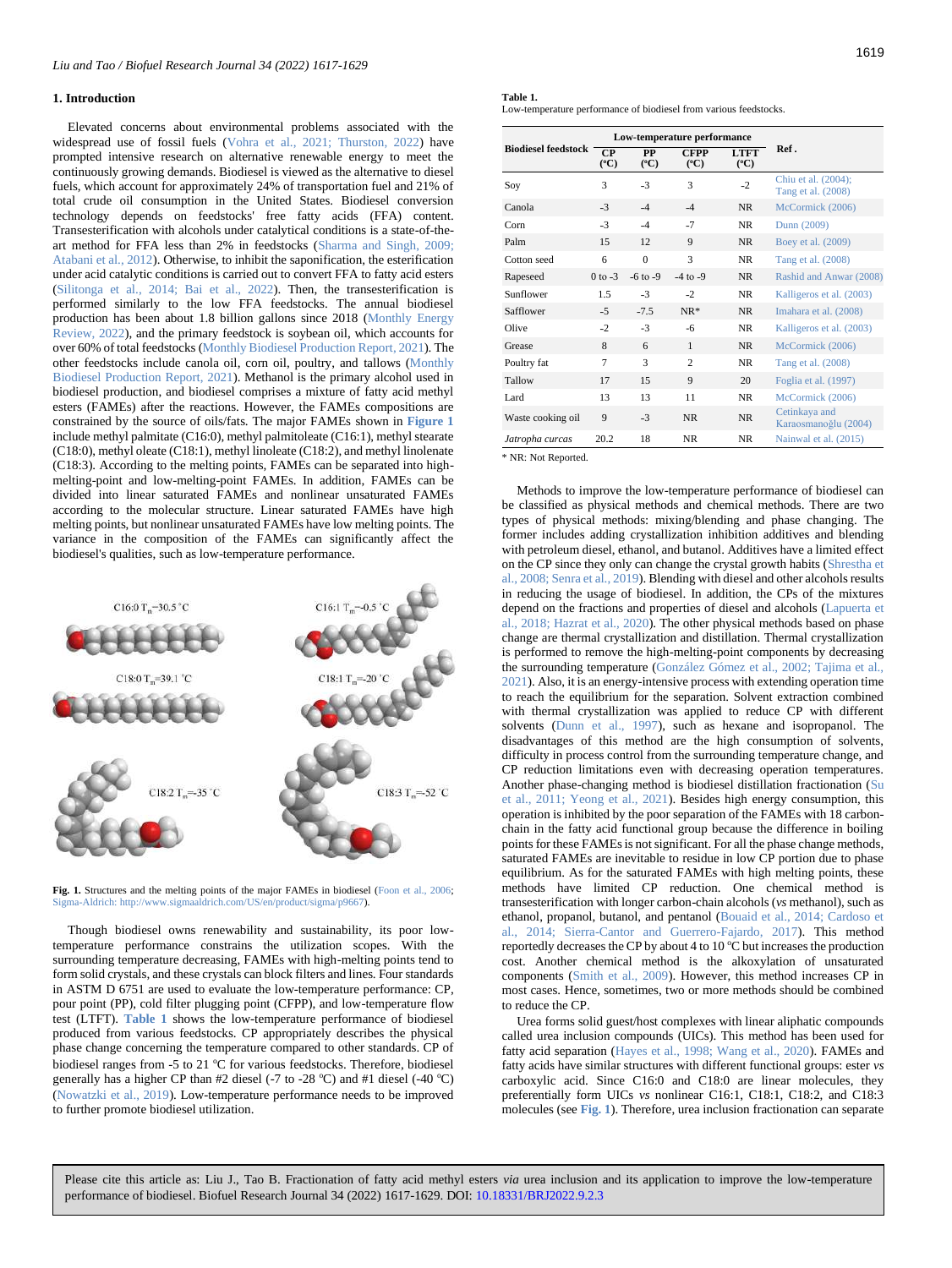# <span id="page-2-0"></span>**1. Introduction**

Elevated concerns about environmental problems associated with the widespread use of fossil fuels (Vohra et al., 2021; Thurston, 2022) have prompted intensive research on alternative renewable energy to meet the continuously growing demands. Biodiesel is viewed as the alternative to diesel fuels, which account for approximately 24% of transportation fuel and 21% of total crude oil consumption in the United States. Biodiesel conversion technology depends on feedstocks' free fatty acids (FFA) content. Transesterification with alcohols under catalytical conditions is a state-of-theart method for FFA less than 2% in feedstocks (Sharma and Singh, 2009; Atabani et al., 2012). Otherwise, to inhibit the saponification, the esterification under acid catalytic conditions is carried out to convert FFA to fatty acid esters (Silitonga et al., 2014; Bai et al., 2022). Then, the transesterification is performed similarly to the low FFA feedstocks. The annual biodiesel production has been about 1.8 billion gallons since 2018 (Monthly Energy Review, 2022), and the primary feedstock is soybean oil, which accounts for over 60% of total feedstocks (Monthly Biodiesel Production Report, 2021). The other feedstocks include canola oil, corn oil, poultry, and tallows (Monthly Biodiesel Production Report, 2021). Methanol is the primary alcohol used in biodiesel production, and biodiesel comprises a mixture of fatty acid methyl esters (FAMEs) after the reactions. However, the FAMEs compositions are constrained by the source of oils/fats. The major FAMEs shown in **[Figure 1](#page-2-1)** include methyl palmitate (C16:0), methyl palmitoleate (C16:1), methyl stearate (C18:0), methyl oleate (C18:1), methyl linoleate (C18:2), and methyl linolenate (C18:3). According to the melting points, FAMEs can be separated into highmelting-point and low-melting-point FAMEs. In addition, FAMEs can be divided into linear saturated FAMEs and nonlinear unsaturated FAMEs according to the molecular structure. Linear saturated FAMEs have high melting points, but nonlinear unsaturated FAMEs have low melting points. The variance in the composition of the FAMEs can significantly affect the biodiesel's qualities, such as low-temperature performance.

<span id="page-2-1"></span>

Fig. 1. Structures and the melting points of the major FAMEs in biodiesel (Foon et al., 2006; Sigma-Aldrich: http://www.sigmaaldrich.com/US/en/product/sigma/p9667).

Though biodiesel owns renewability and sustainability, its poor lowtemperature performance constrains the utilization scopes. With the surrounding temperature decreasing, FAMEs with high-melting points tend to form solid crystals, and these crystals can block filters and lines. Four standards in ASTM D 6751 are used to evaluate the low-temperature performance: CP, pour point (PP), cold filter plugging point (CFPP), and low-temperature flow test (LTFT). **[Table 1](#page-2-2)** shows the low-temperature performance of biodiesel produced from various feedstocks. CP appropriately describes the physical phase change concerning the temperature compared to other standards. CP of biodiesel ranges from -5 to 21 °C for various feedstocks. Therefore, biodiesel generally has a higher CP than  $#2$  diesel (-7 to -28 °C) and  $#1$  diesel (-40 °C) (Nowatzki et al., 2019). Low-temperature performance needs to be improved to further promote biodiesel utilization.

<span id="page-2-2"></span>

|--|--|

Low-temperature performance of biodiesel from various feedstocks.

|                            | Low-temperature performance |                              |                                |                                |                                           |  |
|----------------------------|-----------------------------|------------------------------|--------------------------------|--------------------------------|-------------------------------------------|--|
| <b>Biodiesel feedstock</b> | $\bf CP$<br>$(^{\circ}C)$   | <b>PP</b><br>$({}^{\circ}C)$ | <b>CFPP</b><br>$({}^{\circ}C)$ | <b>LTFT</b><br>$({}^{\circ}C)$ | Ref.                                      |  |
| Soy                        | 3                           | $-3$                         | 3                              | $-2$                           | Chiu et al. (2004);<br>Tang et al. (2008) |  |
| Canola                     | $-3$                        | $-4$                         | $-4$                           | <b>NR</b>                      | McCormick (2006)                          |  |
| Corn                       | $-3$                        | $-4$                         | $-7$                           | <b>NR</b>                      | Dunn (2009)                               |  |
| Palm                       | 15                          | 12                           | 9                              | <b>NR</b>                      | Boey et al. (2009)                        |  |
| Cotton seed                | 6                           | $\Omega$                     | 3                              | <b>NR</b>                      | Tang et al. (2008)                        |  |
| Rapeseed                   | $0$ to $-3$                 | $-6$ to $-9$                 | $-4$ to $-9$                   | NR.                            | Rashid and Anwar (2008)                   |  |
| Sunflower                  | 1.5                         | $-3$                         | $-2$                           | <b>NR</b>                      | Kalligeros et al. (2003)                  |  |
| Safflower                  | $-5$                        | $-7.5$                       | $NR*$                          | <b>NR</b>                      | Imahara et al. (2008)                     |  |
| Olive                      | $-2$                        | $-3$                         | $-6$                           | <b>NR</b>                      | Kalligeros et al. (2003)                  |  |
| Grease                     | 8                           | 6                            | $\mathbf{1}$                   | <b>NR</b>                      | McCormick (2006)                          |  |
| Poultry fat                | 7                           | 3                            | $\mathfrak{D}$                 | <b>NR</b>                      | Tang et al. (2008)                        |  |
| Tallow                     | 17                          | 15                           | $\mathbf Q$                    | 20                             | Foglia et al. (1997)                      |  |
| Lard                       | 13                          | 13                           | 11                             | <b>NR</b>                      | McCormick (2006)                          |  |
| Waste cooking oil          | 9                           | $-3$                         | <b>NR</b>                      | <b>NR</b>                      | Cetinkaya and<br>Karaosmanoğlu (2004)     |  |
| Jatropha curcas            | 20.2                        | 18                           | <b>NR</b>                      | <b>NR</b>                      | Nainwal et al. (2015)                     |  |

\* NR: Not Reported.

Methods to improve the low-temperature performance of biodiesel can be classified as physical methods and chemical methods. There are two types of physical methods: mixing/blending and phase changing. The former includes adding crystallization inhibition additives and blending with petroleum diesel, ethanol, and butanol. Additives have a limited effect on the CP since they only can change the crystal growth habits (Shrestha et al., 2008; Senra et al., 2019). Blending with diesel and other alcohols results in reducing the usage of biodiesel. In addition, the CPs of the mixtures depend on the fractions and properties of diesel and alcohols (Lapuerta et al., 2018; Hazrat et al., 2020). The other physical methods based on phase change are thermal crystallization and distillation. Thermal crystallization is performed to remove the high-melting-point components by decreasing the surrounding temperature (González Gómez et al., 2002; Tajima et al., 2021). Also, it is an energy-intensive process with extending operation time to reach the equilibrium for the separation. Solvent extraction combined with thermal crystallization was applied to reduce CP with different solvents (Dunn et al., 1997), such as hexane and isopropanol. The disadvantages of this method are the high consumption of solvents, difficulty in process control from the surrounding temperature change, and CP reduction limitations even with decreasing operation temperatures. Another phase-changing method is biodiesel distillation fractionation (Su et al., 2011; Yeong et al., 2021). Besides high energy consumption, this operation is inhibited by the poor separation of the FAMEs with 18 carbonchain in the fatty acid functional group because the difference in boiling points for these FAMEs is not significant. For all the phase change methods, saturated FAMEs are inevitable to residue in low CP portion due to phase equilibrium. As for the saturated FAMEs with high melting points, these methods have limited CP reduction. One chemical method is transesterification with longer carbon-chain alcohols (*vs* methanol), such as ethanol, propanol, butanol, and pentanol (Bouaid et al., 2014; Cardoso et al., 2014; Sierra-Cantor and Guerrero-Fajardo, 2017). This method reportedly decreases the CP by about 4 to 10  $^{\circ}$ C but increases the production cost. Another chemical method is the alkoxylation of unsaturated components (Smith et al., 2009). However, this method increases CP in most cases. Hence, sometimes, two or more methods should be combined to reduce the CP.

Urea forms solid guest/host complexes with linear aliphatic compounds called urea inclusion compounds (UICs). This method has been used for fatty acid separation (Hayes et al., 1998; Wang et al., 2020). FAMEs and fatty acids have similar structures with different functional groups: ester *vs* carboxylic acid. Since C16:0 and C18:0 are linear molecules, they preferentially form UICs *vs* nonlinear C16:1, C18:1, C18:2, and C18:3 molecules (see **[Fig. 1](#page-2-1)**). Therefore, urea inclusion fractionation can separate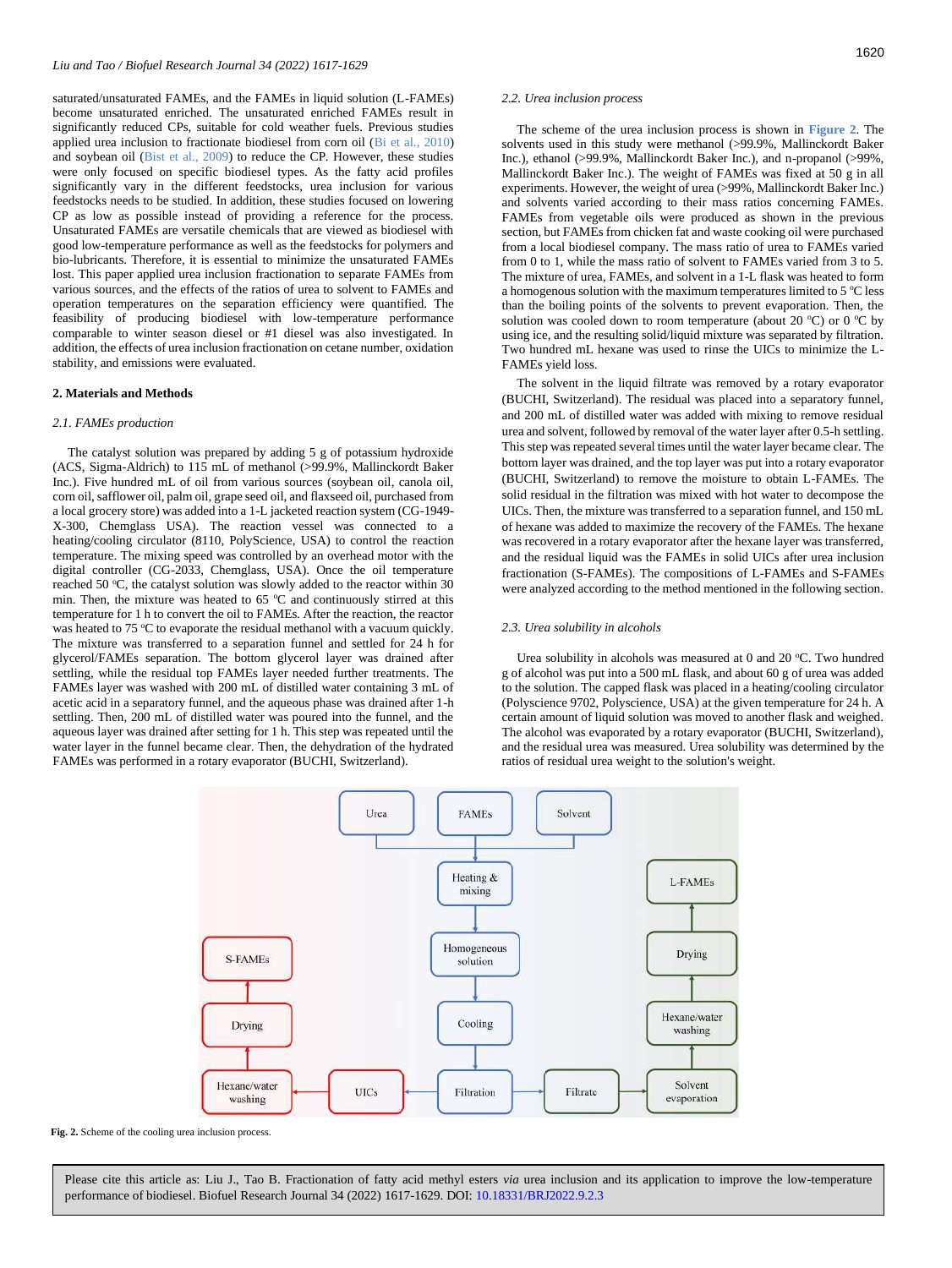saturated/unsaturated FAMEs, and the FAMEs in liquid solution (L-FAMEs) become unsaturated enriched. The unsaturated enriched FAMEs result in significantly reduced CPs, suitable for cold weather fuels. Previous studies applied urea inclusion to fractionate biodiesel from corn oil (Bi et al., 2010) and soybean oil (Bist et al., 2009) to reduce the CP. However, these studies were only focused on specific biodiesel types. As the fatty acid profiles significantly vary in the different feedstocks, urea inclusion for various feedstocks needs to be studied. In addition, these studies focused on lowering CP as low as possible instead of providing a reference for the process. Unsaturated FAMEs are versatile chemicals that are viewed as biodiesel with good low-temperature performance as well as the feedstocks for polymers and bio-lubricants. Therefore, it is essential to minimize the unsaturated FAMEs lost. This paper applied urea inclusion fractionation to separate FAMEs from various sources, and the effects of the ratios of urea to solvent to FAMEs and operation temperatures on the separation efficiency were quantified. The feasibility of producing biodiesel with low-temperature performance comparable to winter season diesel or #1 diesel was also investigated. In addition, the effects of urea inclusion fractionation on cetane number, oxidation stability, and emissions were evaluated.

## <span id="page-3-0"></span>**2. Materials and Methods**

# <span id="page-3-1"></span>*2.1. FAMEs production*

The catalyst solution was prepared by adding 5 g of potassium hydroxide (ACS, Sigma-Aldrich) to 115 mL of methanol (>99.9%, Mallinckordt Baker Inc.). Five hundred mL of oil from various sources (soybean oil, canola oil, corn oil, safflower oil, palm oil, grape seed oil, and flaxseed oil, purchased from a local grocery store) was added into a 1-L jacketed reaction system (CG-1949- X-300, Chemglass USA). The reaction vessel was connected to a heating/cooling circulator (8110, PolyScience, USA) to control the reaction temperature. The mixing speed was controlled by an overhead motor with the digital controller (CG-2033, Chemglass, USA). Once the oil temperature reached 50 °C, the catalyst solution was slowly added to the reactor within 30 min. Then, the mixture was heated to  $65^{\circ}$ C and continuously stirred at this temperature for 1 h to convert the oil to FAMEs. After the reaction, the reactor was heated to 75 °C to evaporate the residual methanol with a vacuum quickly. The mixture was transferred to a separation funnel and settled for 24 h for glycerol/FAMEs separation. The bottom glycerol layer was drained after settling, while the residual top FAMEs layer needed further treatments. The FAMEs layer was washed with 200 mL of distilled water containing 3 mL of acetic acid in a separatory funnel, and the aqueous phase was drained after 1-h settling. Then, 200 mL of distilled water was poured into the funnel, and the aqueous layer was drained after setting for 1 h. This step was repeated until the water layer in the funnel became clear. Then, the dehydration of the hydrated FAMEs was performed in a rotary evaporator (BUCHI, Switzerland).

#### <span id="page-3-2"></span>*2.2. Urea inclusion process*

The scheme of the urea inclusion process is shown in **[Figure 2](#page-3-4)**. The solvents used in this study were methanol (>99.9%, Mallinckordt Baker Inc.), ethanol (>99.9%, Mallinckordt Baker Inc.), and n-propanol (>99%, Mallinckordt Baker Inc.). The weight of FAMEs was fixed at 50 g in all experiments. However, the weight of urea (>99%, Mallinckordt Baker Inc.) and solvents varied according to their mass ratios concerning FAMEs. FAMEs from vegetable oils were produced as shown in the previous section, but FAMEs from chicken fat and waste cooking oil were purchased from a local biodiesel company. The mass ratio of urea to FAMEs varied from 0 to 1, while the mass ratio of solvent to FAMEs varied from 3 to 5. The mixture of urea, FAMEs, and solvent in a 1-L flask was heated to form a homogenous solution with the maximum temperatures limited to  $5^{\circ}$ C less than the boiling points of the solvents to prevent evaporation. Then, the solution was cooled down to room temperature (about 20 °C) or 0 °C by using ice, and the resulting solid/liquid mixture was separated by filtration. Two hundred mL hexane was used to rinse the UICs to minimize the L-FAMEs yield loss.

The solvent in the liquid filtrate was removed by a rotary evaporator (BUCHI, Switzerland). The residual was placed into a separatory funnel, and 200 mL of distilled water was added with mixing to remove residual urea and solvent, followed by removal of the water layer after 0.5-h settling. This step was repeated several times until the water layer became clear. The bottom layer was drained, and the top layer was put into a rotary evaporator (BUCHI, Switzerland) to remove the moisture to obtain L-FAMEs. The solid residual in the filtration was mixed with hot water to decompose the UICs. Then, the mixture was transferred to a separation funnel, and 150 mL of hexane was added to maximize the recovery of the FAMEs. The hexane was recovered in a rotary evaporator after the hexane layer was transferred, and the residual liquid was the FAMEs in solid UICs after urea inclusion fractionation (S-FAMEs). The compositions of L-FAMEs and S-FAMEs were analyzed according to the method mentioned in the following section.

# <span id="page-3-3"></span>*2.3. Urea solubility in alcohols*

Urea solubility in alcohols was measured at 0 and 20  $^{\circ}$ C. Two hundred g of alcohol was put into a 500 mL flask, and about 60 g of urea was added to the solution. The capped flask was placed in a heating/cooling circulator (Polyscience 9702, Polyscience, USA) at the given temperature for 24 h. A certain amount of liquid solution was moved to another flask and weighed. The alcohol was evaporated by a rotary evaporator (BUCHI, Switzerland), and the residual urea was measured. Urea solubility was determined by the ratios of residual urea weight to the solution's weight.



<span id="page-3-4"></span>**Fig. 2.** Scheme of the cooling urea inclusion process.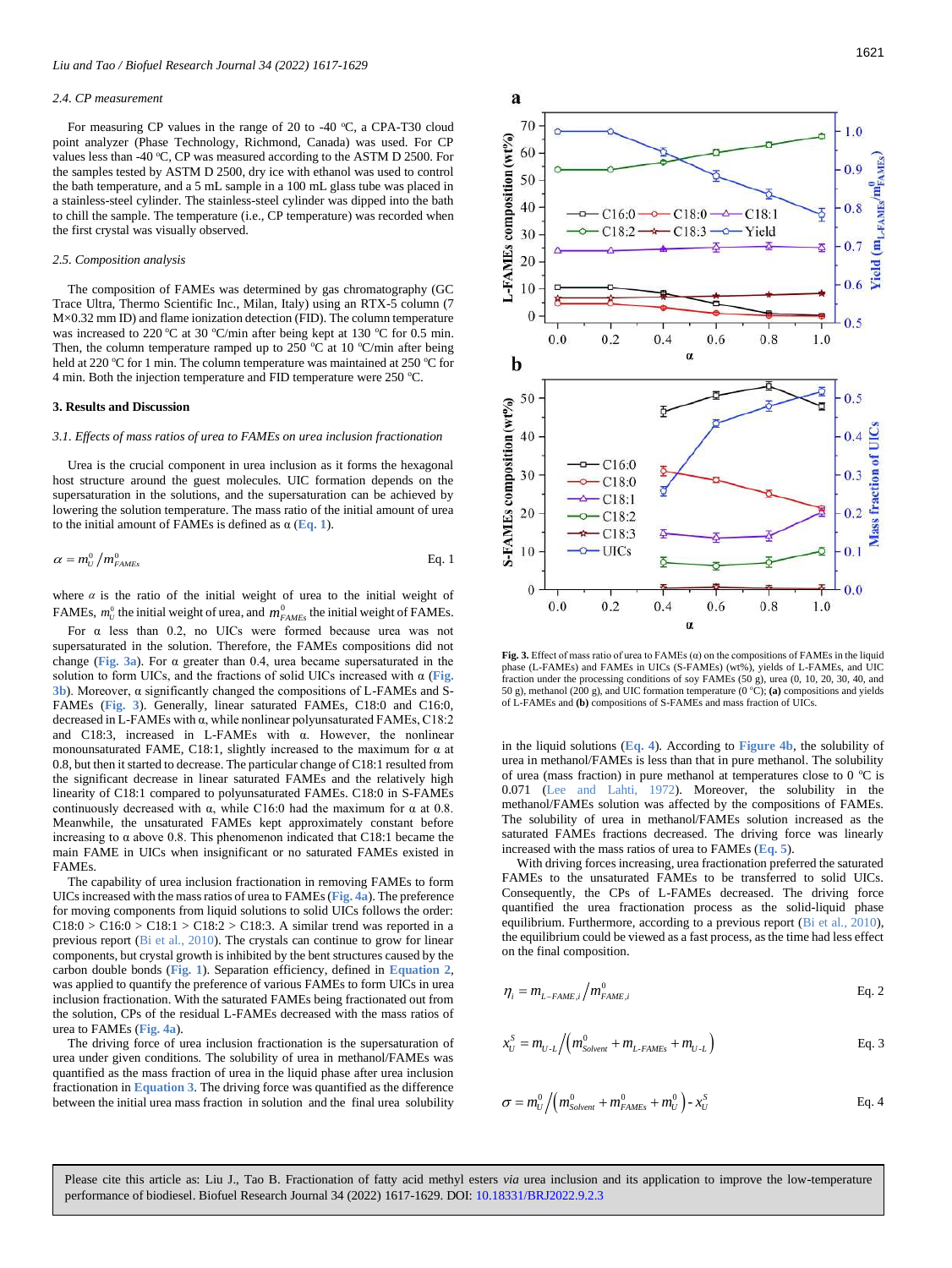#### <span id="page-4-0"></span>*2.4. CP measurement*

For measuring CP values in the range of 20 to -40  $\degree$ C, a CPA-T30 cloud point analyzer (Phase Technology, Richmond, Canada) was used. For CP values less than -40 °C, CP was measured according to the ASTM D 2500. For the samples tested by ASTM D 2500, dry ice with ethanol was used to control the bath temperature, and a 5 mL sample in a 100 mL glass tube was placed in a stainless-steel cylinder. The stainless-steel cylinder was dipped into the bath to chill the sample. The temperature (i.e., CP temperature) was recorded when the first crystal was visually observed.

### <span id="page-4-1"></span>*2.5. Composition analysis*

The composition of FAMEs was determined by gas chromatography (GC Trace Ultra, Thermo Scientific Inc., Milan, Italy) using an RTX-5 column (7 M×0.32 mm ID) and flame ionization detection (FID). The column temperature was increased to 220 °C at 30 °C/min after being kept at 130 °C for 0.5 min. Then, the column temperature ramped up to 250  $^{\circ}$ C at 10  $^{\circ}$ C/min after being held at 220 °C for 1 min. The column temperature was maintained at 250 °C for 4 min. Both the injection temperature and FID temperature were 250  $^{\circ}$ C.

## <span id="page-4-2"></span>**3. Results and Discussion**

#### <span id="page-4-3"></span>*3.1. Effects of mass ratios of urea to FAMEs on urea inclusion fractionation*

Urea is the crucial component in urea inclusion as it forms the hexagonal host structure around the guest molecules. UIC formation depends on the supersaturation in the solutions, and the supersaturation can be achieved by lowering the solution temperature. The mass ratio of the initial amount of urea to the initial amount of FAMEs is defined as  $\alpha$  (**[Eq. 1](#page-4-4)**).

<span id="page-4-4"></span>
$$
\alpha = m_U^0 / m_{FAMEs}^0
$$
 Eq. 1

where  $\alpha$  is the ratio of the initial weight of urea to the initial weight of FAMEs,  $m_U^0$  the initial weight of urea, and  $m_{FAMEs}^0$  the initial weight of FAMEs.

For  $\alpha$  less than 0.2, no UICs were formed because urea was not supersaturated in the solution. Therefore, the FAMEs compositions did not change (**[Fig. 3a](#page-4-5)**). For α greater than 0.4, urea became supersaturated in the solution to form UICs, and the fractions of solid UICs increased with α (**[Fig.](#page-4-5)  [3b](#page-4-5)**). Moreover, α significantly changed the compositions of L-FAMEs and S-FAMEs (**[Fig. 3](#page-4-5)**). Generally, linear saturated FAMEs, C18:0 and C16:0, decreased in L-FAMEs with α, while nonlinear polyunsaturated FAMEs, C18:2 and C18:3, increased in L-FAMEs with α. However, the nonlinear monounsaturated FAME, C18:1, slightly increased to the maximum for  $\alpha$  at 0.8, but then it started to decrease. The particular change of C18:1 resulted from the significant decrease in linear saturated FAMEs and the relatively high linearity of C18:1 compared to polyunsaturated FAMEs. C18:0 in S-FAMEs continuously decreased with  $\alpha$ , while C16:0 had the maximum for  $\alpha$  at 0.8. Meanwhile, the unsaturated FAMEs kept approximately constant before increasing to  $\alpha$  above 0.8. This phenomenon indicated that C18:1 became the main FAME in UICs when insignificant or no saturated FAMEs existed in FAMEs.

The capability of urea inclusion fractionation in removing FAMEs to form UICs increased with the mass ratios of urea to FAMEs (**[Fig. 4a](#page-5-1)**). The preference for moving components from liquid solutions to solid UICs follows the order:  $C18:0 > C16:0 > C18:1 > C18:2 > C18:3$ . A similar trend was reported in a previous report (Bi et al., 2010). The crystals can continue to grow for linear components, but crystal growth is inhibited by the bent structures caused by the carbon double bonds (**[Fig. 1](#page-2-1)**). Separation efficiency, defined in **[Equation 2](#page-4-6)**, was applied to quantify the preference of various FAMEs to form UICs in urea inclusion fractionation. With the saturated FAMEs being fractionated out from the solution, CPs of the residual L-FAMEs decreased with the mass ratios of urea to FAMEs (**[Fig. 4a](#page-5-1)**).

The driving force of urea inclusion fractionation is the supersaturation of urea under given conditions. The solubility of urea in methanol/FAMEs was quantified as the mass fraction of urea in the liquid phase after urea inclusion fractionation in **[Equation 3](#page-4-7)**. The driving force was quantified as the difference between the initial urea mass fraction in solution and the final urea solubility



<span id="page-4-5"></span>**Fig. 3.** Effect of mass ratio of urea to FAMEs (α) on the compositions of FAMEs in the liquid phase (L-FAMEs) and FAMEs in UICs (S-FAMEs) (wt%), yields of L-FAMEs, and UIC fraction under the processing conditions of soy FAMEs (50 g), urea (0, 10, 20, 30, 40, and 50 g), methanol (200 g), and UIC formation temperature (0 °C); (a) compositions and yields of L-FAMEs and **(b)** compositions of S-FAMEs and mass fraction of UICs.

in the liquid solutions (**[Eq. 4](#page-4-8)**). According to **[Figure 4b](#page-5-1)**, the solubility of urea in methanol/FAMEs is less than that in pure methanol. The solubility of urea (mass fraction) in pure methanol at temperatures close to  $0^{\circ}$ C is 0.071 (Lee and Lahti, 1972). Moreover, the solubility in the methanol/FAMEs solution was affected by the compositions of FAMEs. The solubility of urea in methanol/FAMEs solution increased as the saturated FAMEs fractions decreased. The driving force was linearly increased with the mass ratios of urea to FAMEs (**[Eq. 5](#page-5-2)**).

With driving forces increasing, urea fractionation preferred the saturated FAMEs to the unsaturated FAMEs to be transferred to solid UICs. Consequently, the CPs of L-FAMEs decreased. The driving force quantified the urea fractionation process as the solid-liquid phase equilibrium. Furthermore, according to a previous report (Bi et al., 2010), the equilibrium could be viewed as a fast process, as the time had less effect on the final composition.

<span id="page-4-6"></span>
$$
\eta_i = m_{L-FAME,i} / m_{FAME,i}^0
$$
 Eq. 2

<span id="page-4-7"></span>
$$
x_U^S = m_{U \text{-}L} / (m_{\text{Solvent}}^0 + m_{L\text{-}FAMEs} + m_{U \text{-}L})
$$
 Eq. 3

<span id="page-4-8"></span>
$$
\sigma = m_U^0 / \left( m_{\text{Solvent}}^0 + m_{\text{FAMEs}}^0 + m_U^0 \right) - x_U^S
$$
 Eq. 4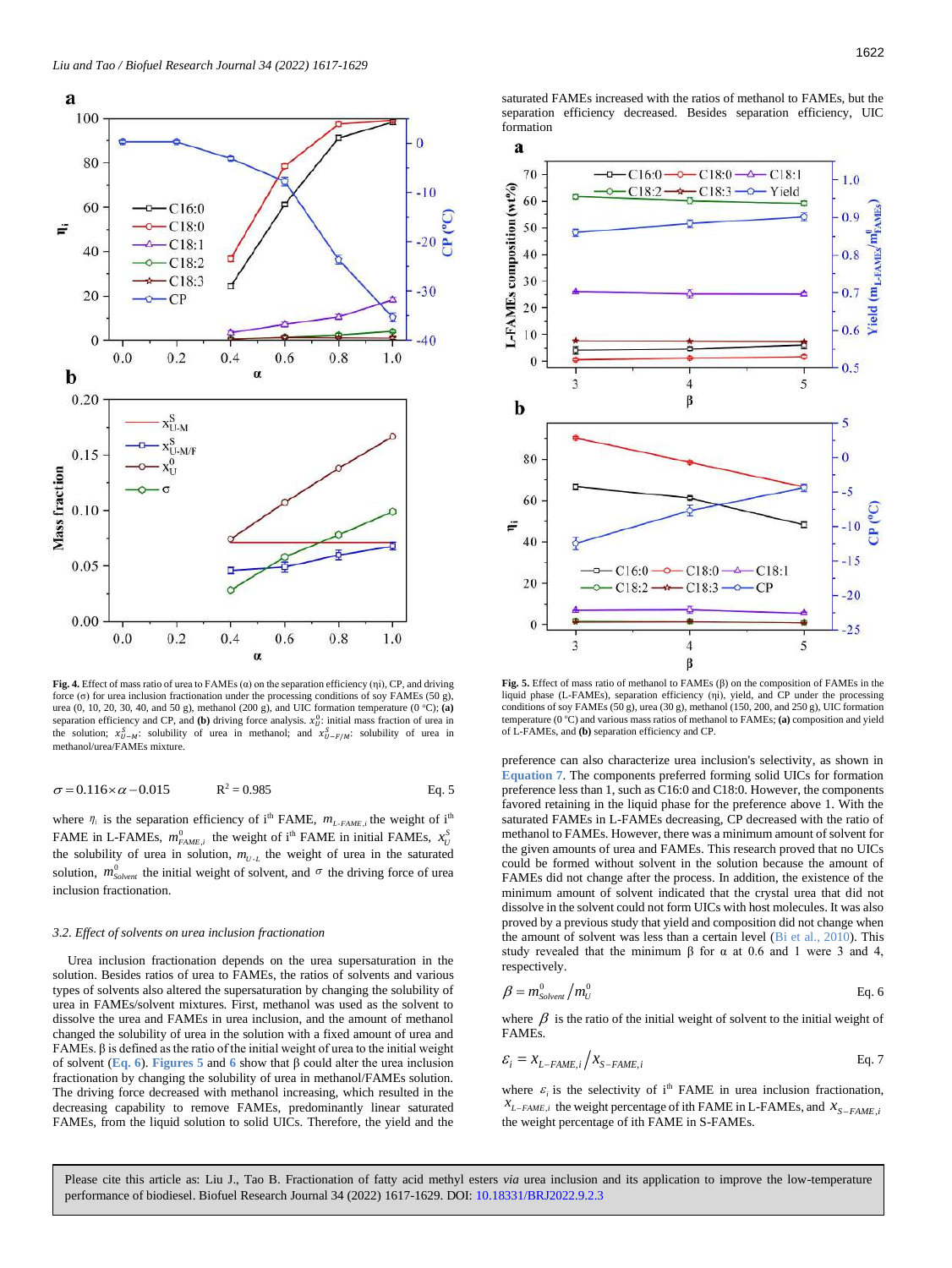

<span id="page-5-1"></span>**Fig. 4.** Effect of mass ratio of urea to FAMEs (α) on the separation efficiency (ηi), CP, and driving force (σ) for urea inclusion fractionation under the processing conditions of soy FAMEs (50 g), urea (0, 10, 20, 30, 40, and 50 g), methanol (200 g), and UIC formation temperature (0 °C); (**a**) separation efficiency and CP, and **(b)** driving force analysis.  $x_U^0$ : initial mass fraction of urea in the solution;  $x_{U-M}^S$ : solubility of urea in methanol; and  $x_{U-F/M}^S$ : solubility of urea in methanol/urea/FAMEs mixture.

$$
\sigma = 0.116 \times \alpha - 0.015 \qquad R^2 = 0.985 \qquad \text{Eq. 5}
$$

where  $\eta_i$  is the separation efficiency of i<sup>th</sup> FAME,  $m_{L\text{-}FAME,i}$  the weight of i<sup>th</sup> FAME in L-FAMEs,  $m_{FAME,i}^0$  the weight of i<sup>th</sup> FAME in initial FAMEs,  $x_U^S$ the solubility of urea in solution,  $m_{U-L}$  the weight of urea in the saturated solution,  $m^0_{Solvent}$  the initial weight of solvent, and  $\sigma$  the driving force of urea inclusion fractionation.

# <span id="page-5-0"></span>*3.2. Effect of solvents on urea inclusion fractionation*

Urea inclusion fractionation depends on the urea supersaturation in the solution. Besides ratios of urea to FAMEs, the ratios of solvents and various types of solvents also altered the supersaturation by changing the solubility of urea in FAMEs/solvent mixtures. First, methanol was used as the solvent to dissolve the urea and FAMEs in urea inclusion, and the amount of methanol changed the solubility of urea in the solution with a fixed amount of urea and FAMEs. β is defined as the ratio of the initial weight of urea to the initial weight of solvent (**[Eq. 6](#page-5-3)**). **[Figures 5](#page-5-2)** and **[6](#page-6-2)** show that β could alter the urea inclusion fractionation by changing the solubility of urea in methanol/FAMEs solution. The driving force decreased with methanol increasing, which resulted in the decreasing capability to remove FAMEs, predominantly linear saturated FAMEs, from the liquid solution to solid UICs. Therefore, the yield and the

saturated FAMEs increased with the ratios of methanol to FAMEs, but the separation efficiency decreased. Besides separation efficiency, UIC formation



<span id="page-5-2"></span>**Fig. 5.** Effect of mass ratio of methanol to FAMEs (β) on the composition of FAMEs in the liquid phase (L-FAMEs), separation efficiency (ηi), yield, and CP under the processing conditions of soy FAMEs (50 g), urea (30 g), methanol (150, 200, and 250 g), UIC formation temperature (0 °C) and various mass ratios of methanol to FAMEs; (a) composition and yield of L-FAMEs, and **(b)** separation efficiency and CP.

preference can also characterize urea inclusion's selectivity, as shown in **[Equation 7](#page-5-4)**. The components preferred forming solid UICs for formation preference less than 1, such as C16:0 and C18:0. However, the components favored retaining in the liquid phase for the preference above 1. With the saturated FAMEs in L-FAMEs decreasing, CP decreased with the ratio of methanol to FAMEs. However, there was a minimum amount of solvent for the given amounts of urea and FAMEs. This research proved that no UICs could be formed without solvent in the solution because the amount of FAMEs did not change after the process. In addition, the existence of the minimum amount of solvent indicated that the crystal urea that did not dissolve in the solvent could not form UICs with host molecules. It was also proved by a previous study that yield and composition did not change when the amount of solvent was less than a certain level (Bi et al., 2010). This study revealed that the minimum  $β$  for  $α$  at 0.6 and 1 were 3 and 4, respectively.

<span id="page-5-3"></span>
$$
\beta = m_{\text{Solvent}}^0 / m_U^0 \qquad \qquad \text{Eq. 6}
$$

where  $\beta$  is the ratio of the initial weight of solvent to the initial weight of FAMEs.

<span id="page-5-4"></span>
$$
\varepsilon_i = x_{L-FAME,i} / x_{S-FAME,i}
$$
 Eq. 7

where  $\varepsilon$ <sub>i</sub> is the selectivity of i<sup>th</sup> FAME in urea inclusion fractionation,  $X_{L-FAME,i}$ , the weight percentage of ith FAME in L-FAMEs, and  $X_{S-FAME,i}$ the weight percentage of ith FAME in S-FAMEs.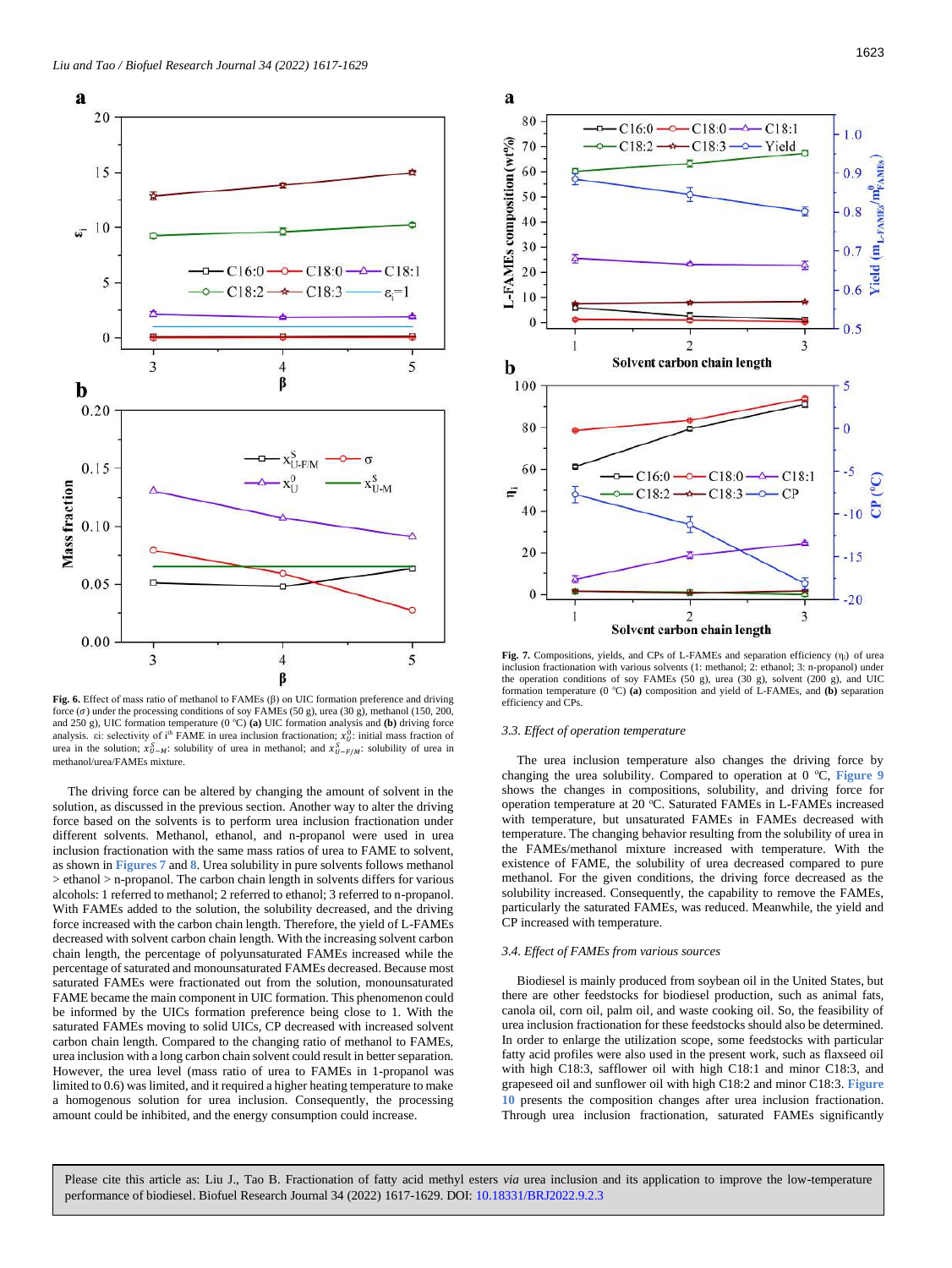

<span id="page-6-2"></span>**Fig. 6.** Effect of mass ratio of methanol to FAMEs (β) on UIC formation preference and driving force  $(\sigma)$  under the processing conditions of soy FAMEs (50 g), urea (30 g), methanol (150, 200, and 250 g), UIC formation temperature  $(0 °C)$  (a) UIC formation analysis and (b) driving force analysis. εi: selectivity of i<sup>th</sup> FAME in urea inclusion fractionation;  $x_0^0$ : initial mass fraction of urea in the solution;  $x_{U-M}^S$ : solubility of urea in methanol; and  $x_{U-F/M}^S$ : solubility of urea in methanol/urea/FAMEs mixture.

The driving force can be altered by changing the amount of solvent in the solution, as discussed in the previous section. Another way to alter the driving force based on the solvents is to perform urea inclusion fractionation under different solvents. Methanol, ethanol, and n-propanol were used in urea inclusion fractionation with the same mass ratios of urea to FAME to solvent, as shown in **[Figures 7](#page-6-3)** and **[8](#page-7-0)**. Urea solubility in pure solvents follows methanol  $>$  ethanol  $>$  n-propanol. The carbon chain length in solvents differs for various alcohols: 1 referred to methanol; 2 referred to ethanol; 3 referred to n-propanol. With FAMEs added to the solution, the solubility decreased, and the driving force increased with the carbon chain length. Therefore, the yield of L-FAMEs decreased with solvent carbon chain length. With the increasing solvent carbon chain length, the percentage of polyunsaturated FAMEs increased while the percentage of saturated and monounsaturated FAMEs decreased. Because most saturated FAMEs were fractionated out from the solution, monounsaturated FAME became the main component in UIC formation. This phenomenon could be informed by the UICs formation preference being close to 1. With the saturated FAMEs moving to solid UICs, CP decreased with increased solvent carbon chain length. Compared to the changing ratio of methanol to FAMEs, urea inclusion with a long carbon chain solvent could result in better separation. However, the urea level (mass ratio of urea to FAMEs in 1-propanol was limited to 0.6) was limited, and it required a higher heating temperature to make a homogenous solution for urea inclusion. Consequently, the processing amount could be inhibited, and the energy consumption could increase.



<span id="page-6-3"></span>**Fig. 7.** Compositions, yields, and CPs of L-FAMEs and separation efficiency (ηi) of urea inclusion fractionation with various solvents (1: methanol; 2: ethanol; 3: n-propanol) under the operation conditions of soy FAMEs (50 g), urea (30 g), solvent (200 g), and UIC formation temperature (0 °C) (a) composition and yield of L-FAMEs, and (b) separation efficiency and CPs.

#### <span id="page-6-0"></span>*3.3. Effect of operation temperature*

The urea inclusion temperature also changes the driving force by changing the urea solubility. Compared to operation at 0 °C, [Figure 9](#page-7-1) shows the changes in compositions, solubility, and driving force for operation temperature at 20 °C. Saturated FAMEs in L-FAMEs increased with temperature, but unsaturated FAMEs in FAMEs decreased with temperature. The changing behavior resulting from the solubility of urea in the FAMEs/methanol mixture increased with temperature. With the existence of FAME, the solubility of urea decreased compared to pure methanol. For the given conditions, the driving force decreased as the solubility increased. Consequently, the capability to remove the FAMEs, particularly the saturated FAMEs, was reduced. Meanwhile, the yield and CP increased with temperature.

# <span id="page-6-1"></span>*3.4. Effect of FAMEs from various sources*

Biodiesel is mainly produced from soybean oil in the United States, but there are other feedstocks for biodiesel production, such as animal fats, canola oil, corn oil, palm oil, and waste cooking oil. So, the feasibility of urea inclusion fractionation for these feedstocks should also be determined. In order to enlarge the utilization scope, some feedstocks with particular fatty acid profiles were also used in the present work, such as flaxseed oil with high C18:3, safflower oil with high C18:1 and minor C18:3, and grapeseed oil and sunflower oil with high C18:2 and minor C18:3. **[Figure](#page-8-0)  [10](#page-8-0)** presents the composition changes after urea inclusion fractionation. Through urea inclusion fractionation, saturated FAMEs significantly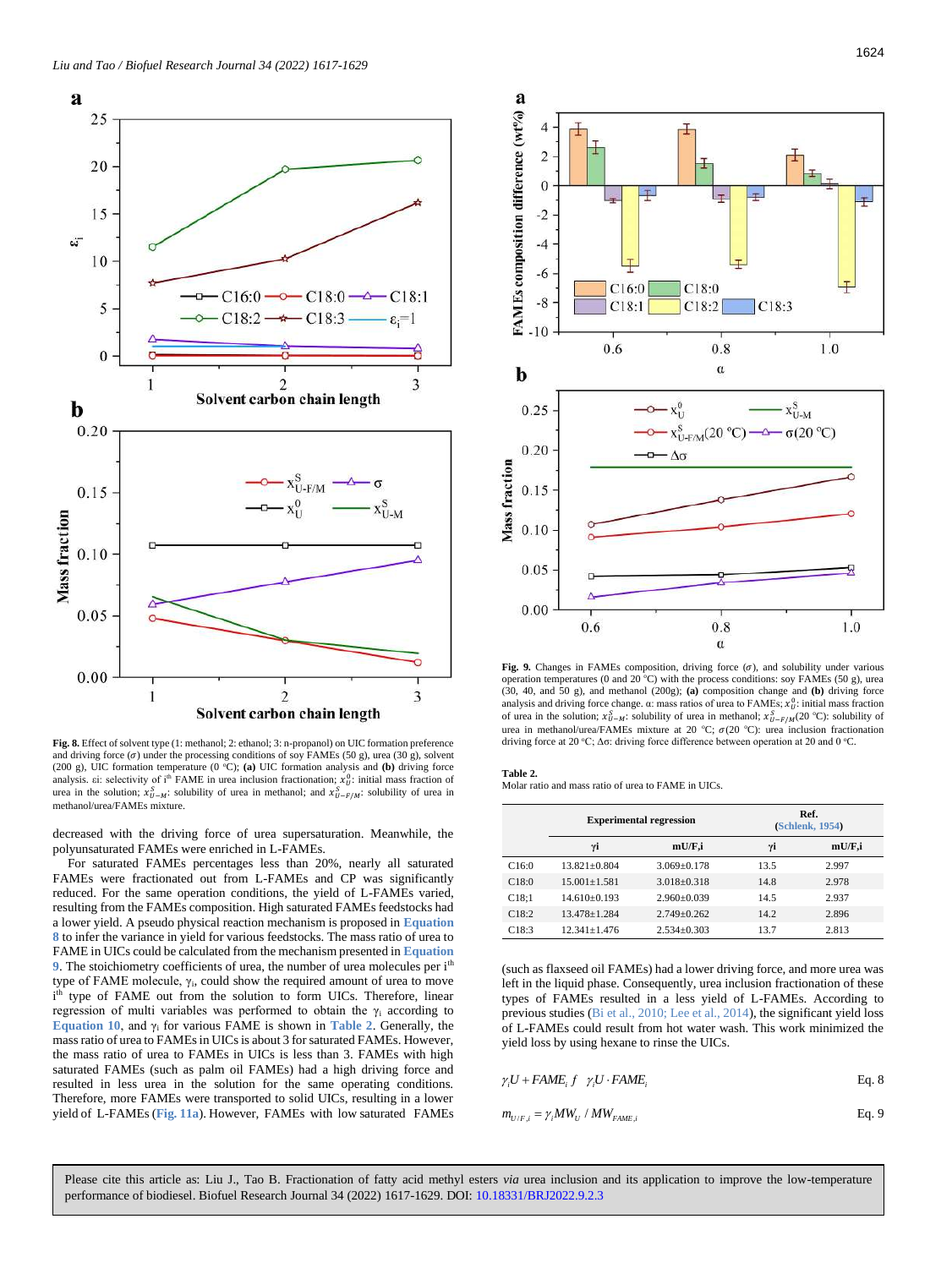

<span id="page-7-0"></span>**Fig. 8.** Effect of solvent type (1: methanol; 2: ethanol; 3: n-propanol) on UIC formation preference and driving force  $(\sigma)$  under the processing conditions of soy FAMEs (50 g), urea (30 g), solvent (200 g), UIC formation temperature (0 °C); (a) UIC formation analysis and (b) driving force analysis. ei: selectivity of i<sup>th</sup> FAME in urea inclusion fractionation;  $x_0^0$ : initial mass fraction of urea in the solution;  $x_{U-M}^S$ : solubility of urea in methanol; and  $x_{U-F/M}^S$ : solubility of urea in methanol/urea/FAMEs mixture.

decreased with the driving force of urea supersaturation. Meanwhile, the polyunsaturated FAMEs were enriched in L-FAMEs.

For saturated FAMEs percentages less than 20%, nearly all saturated FAMEs were fractionated out from L-FAMEs and CP was significantly reduced. For the same operation conditions, the yield of L-FAMEs varied, resulting from the FAMEs composition. High saturated FAMEs feedstocks had a lower yield. A pseudo physical reaction mechanism is proposed in **[Equation](#page-7-2)  [8](#page-7-2)** to infer the variance in yield for various feedstocks. The mass ratio of urea to FAME in UICs could be calculated from the mechanism presented in **[Equation](#page-7-3)  [9](#page-7-3)**. The stoichiometry coefficients of urea, the number of urea molecules per i<sup>th</sup> type of FAME molecule,  $\gamma_i$ , could show the required amount of urea to move i type of FAME out from the solution to form UICs. Therefore, linear regression of multi variables was performed to obtain the  $\gamma_i$  according to **[Equation 10](#page-8-1)**, and  $\gamma_i$  for various FAME is shown in **[Table 2](#page-7-4)**. Generally, the mass ratio of urea to FAMEs in UICs is about 3 for saturated FAMEs. However, the mass ratio of urea to FAMEs in UICs is less than 3. FAMEs with high saturated FAMEs (such as palm oil FAMEs) had a high driving force and resulted in less urea in the solution for the same operating conditions. Therefore, more FAMEs were transported to solid UICs, resulting in a lower yield of L-FAMEs (**[Fig.](#page-9-2) 11a**). However, FAMEs with low saturated FAMEs



<span id="page-7-1"></span>Fig. 9. Changes in FAMEs composition, driving force  $(\sigma)$ , and solubility under various operation temperatures (0 and 20  $^{\circ}$ C) with the process conditions: soy FAMEs (50 g), urea (30, 40, and 50 g), and methanol (200g); **(a)** composition change and **(b)** driving force analysis and driving force change.  $\alpha$ : mass ratios of urea to FAMEs;  $x_U^0$ : initial mass fraction of urea in the solution;  $x_{U-M}^S$ : solubility of urea in methanol;  $x_{U-F/M}^S(20 \text{ °C})$ : solubility of urea in methanol/urea/FAMEs mixture at 20 °C;  $\sigma$ (20 °C): urea inclusion fractionation driving force at 20 °C;  $\Delta \sigma$ : driving force difference between operation at 20 and 0 °C.

### <span id="page-7-4"></span>**Table 2.**

Molar ratio and mass ratio of urea to FAME in UICs.

|       |                    | <b>Experimental regression</b> |      | Ref.<br>(Schlenk, 1954) |
|-------|--------------------|--------------------------------|------|-------------------------|
|       | γi                 | mU/F,i                         | γi   | mU/F,i                  |
| C16:0 | $13.821 + 0.804$   | $3.069 \pm 0.178$              | 13.5 | 2.997                   |
| C18:0 | $15.001 \pm 1.581$ | $3.018 \pm 0.318$              | 14.8 | 2.978                   |
| C18:1 | $14.610\pm0.193$   | $2.960 \pm 0.039$              | 14.5 | 2.937                   |
| C18:2 | $13.478 \pm 1.284$ | $2.749 \pm 0.262$              | 14.2 | 2.896                   |
| C18:3 | $12.341 + 1.476$   | $2.534 \pm 0.303$              | 13.7 | 2.813                   |

(such as flaxseed oil FAMEs) had a lower driving force, and more urea was left in the liquid phase. Consequently, urea inclusion fractionation of these types of FAMEs resulted in a less yield of L-FAMEs. According to previous studies (Bi et al., 2010; Lee et al., 2014), the significant yield loss of L-FAMEs could result from hot water wash. This work minimized the yield loss by using hexane to rinse the UICs.

<span id="page-7-2"></span>
$$
\gamma_i U + FAME_i f \gamma_i U \cdot FAME_i
$$
 Eq. 8

<span id="page-7-3"></span>
$$
m_{U/F,i} = \gamma_i MW_U / MW_{FAME,i}
$$
 Eq. 9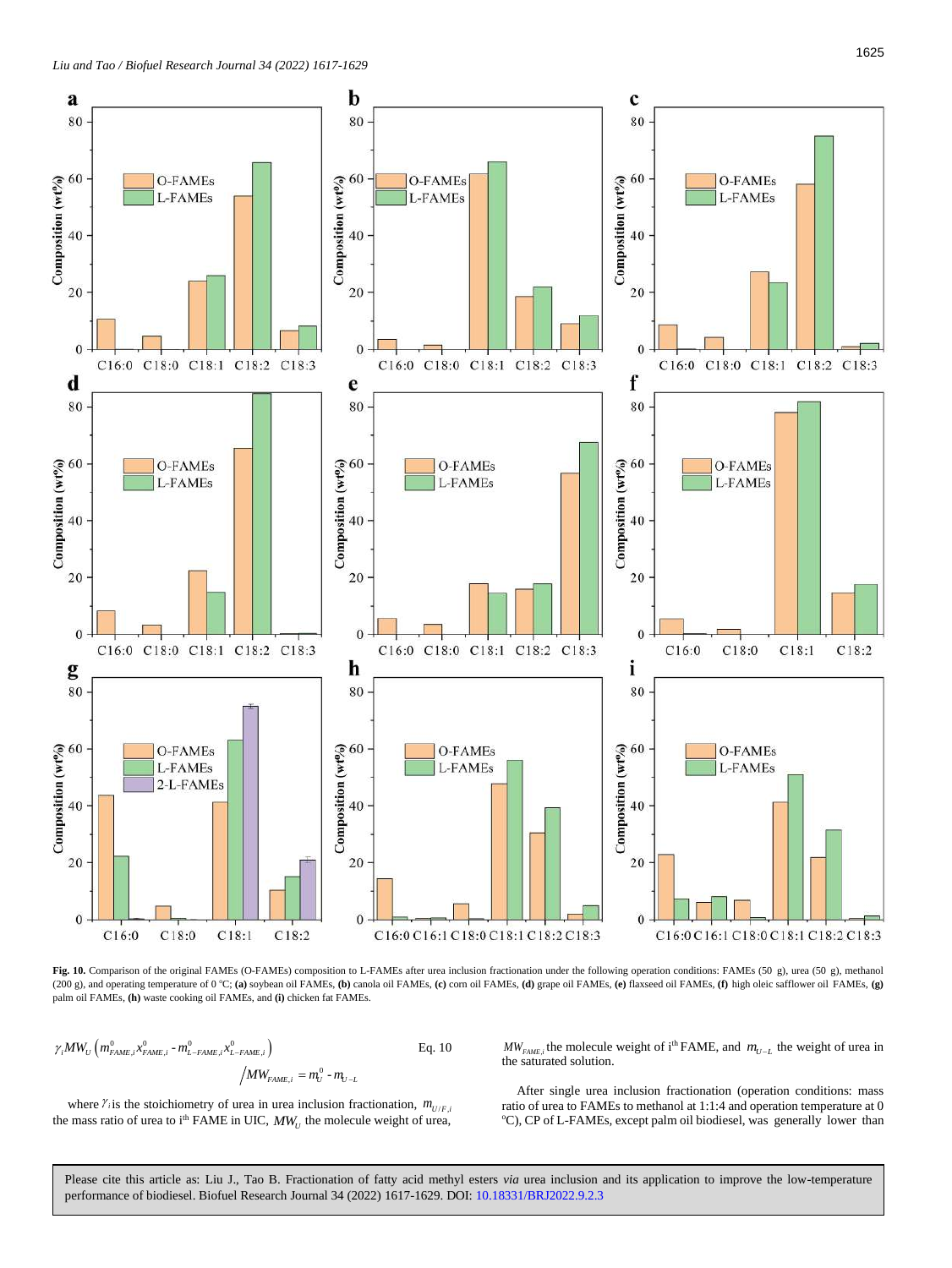

<span id="page-8-0"></span>Fig. 10. Comparison of the original FAMEs (O-FAMEs) composition to L-FAMEs after urea inclusion fractionation under the following operation conditions: FAMEs (50 g), urea (50 g), methanol (200 g), and operating temperature of 0 °C; (a) soybean oil FAMEs, (b) canola oil FAMEs, (c) corn oil FAMEs, (d) grape oil FAMEs, (e) flaxseed oil FAMEs, (f) high oleic safflower oil FAMEs, (g) palm oil FAMEs, **(h)** waste cooking oil FAMEs, and **(i)** chicken fat FAMEs.

<span id="page-8-1"></span>
$$
\gamma_i MW_U \left( m_{FAME,i}^0 x_{FAME,i}^0 - m_{L-FAME,i}^0 x_{L-FAME,i}^0 \right)
$$
 Eq. 10  

$$
/ MW_{FAME,i} = m_U^0 - m_{U-L}
$$

 $MW_{FAME,i}$  the molecule weight of i<sup>th</sup> FAME, and  $m_{U-L}$  the weight of urea in the saturated solution.

where  $\gamma$  is the stoichiometry of urea in urea inclusion fractionation,  $m_{U/F,i}$ the mass ratio of urea to i<sup>th</sup> FAME in UIC,  $MW_U$  the molecule weight of urea,

After single urea inclusion fractionation (operation conditions: mass ratio of urea to FAMEs to methanol at 1:1:4 and operation temperature at 0 °C), CP of L-FAMEs, except palm oil biodiesel, was generally lower than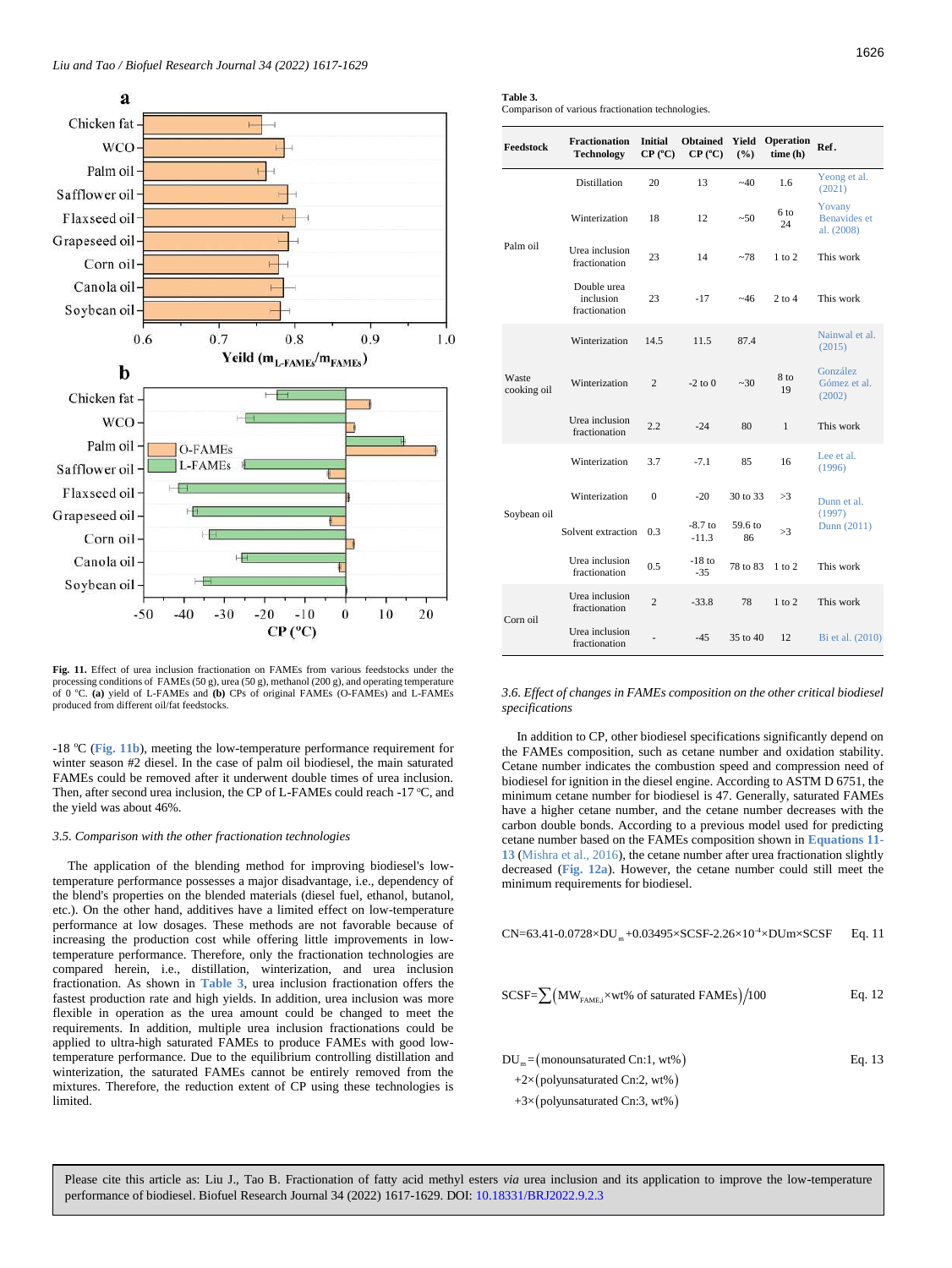

<span id="page-9-2"></span>**Fig. 11.** Effect of urea inclusion fractionation on FAMEs from various feedstocks under the processing conditions of FAMEs (50 g), urea (50 g), methanol (200 g), and operating temperature of 0 <sup>o</sup>C. **(a)** yield of L-FAMEs and **(b)** CPs of original FAMEs (O-FAMEs) and L-FAMEs produced from different oil/fat feedstocks.

-18 <sup>o</sup>C (**[Fig.](#page-9-2) 11b**), meeting the low-temperature performance requirement for winter season #2 diesel. In the case of palm oil biodiesel, the main saturated FAMEs could be removed after it underwent double times of urea inclusion. Then, after second urea inclusion, the CP of L-FAMEs could reach -17  $\degree$ C, and the yield was about 46%.

# <span id="page-9-0"></span>*3.5. Comparison with the other fractionation technologies*

The application of the blending method for improving biodiesel's lowtemperature performance possesses a major disadvantage, i.e., dependency of the blend's properties on the blended materials (diesel fuel, ethanol, butanol, etc.). On the other hand, additives have a limited effect on low-temperature performance at low dosages. These methods are not favorable because of increasing the production cost while offering little improvements in lowtemperature performance. Therefore, only the fractionation technologies are compared herein, i.e., distillation, winterization, and urea inclusion fractionation. As shown in **[Table 3](#page-9-3)**, urea inclusion fractionation offers the fastest production rate and high yields. In addition, urea inclusion was more flexible in operation as the urea amount could be changed to meet the requirements. In addition, multiple urea inclusion fractionations could be applied to ultra-high saturated FAMEs to produce FAMEs with good lowtemperature performance. Due to the equilibrium controlling distillation and winterization, the saturated FAMEs cannot be entirely removed from the mixtures. Therefore, the reduction extent of CP using these technologies is limited.

<span id="page-9-3"></span>

| Table 3.                                          |  |
|---------------------------------------------------|--|
| Comparison of various fractionation technologies. |  |

| Feedstock            | <b>Fractionation</b><br><b>Technology</b> | <b>Initial</b><br>CP (°C) | <b>Obtained</b><br>CP (°C) | Yield<br>(%)  | Operation<br>time(h) | Ref.                                        |
|----------------------|-------------------------------------------|---------------------------|----------------------------|---------------|----------------------|---------------------------------------------|
|                      | <b>Distillation</b>                       | 20                        | 13                         | $-40$         | 1.6                  | Yeong et al.<br>(2021)                      |
|                      | Winterization                             | 18                        | 12                         | ~50           | 6 to<br>24           | Yovany<br><b>Benavides</b> et<br>al. (2008) |
| Palm oil             | Urea inclusion<br>fractionation           | 23                        | 14                         | ~278          | $1$ to $2$           | This work                                   |
|                      | Double urea<br>inclusion<br>fractionation | 23                        | $-17$                      | ~146          | $2$ to $4$           | This work                                   |
| Waste<br>cooking oil | Winterization                             | 14.5                      | 11.5                       | 87.4          |                      | Nainwal et al.<br>(2015)                    |
|                      | Winterization                             | $\overline{c}$            | $-2$ to $0$                | ~10           | 8 to<br>19           | González<br>Gómez et al.<br>(2002)          |
|                      | Urea inclusion<br>fractionation           | 2.2                       | $-24$                      | 80            | $\mathbf{1}$         | This work                                   |
|                      | Winterization                             | 3.7                       | $-7.1$                     | 85            | 16                   | Lee et al.<br>(1996)                        |
|                      | Winterization                             | $\mathbf{0}$              | $-20$                      | 30 to 33      | >3                   | Dunn et al.<br>(1997)                       |
| Soybean oil          | Solvent extraction                        | 0.3                       | $-8.7$ to<br>$-11.3$       | 59.6 to<br>86 | >3                   | Dunn (2011)                                 |
|                      | Urea inclusion<br>fractionation           | 0.5                       | $-18$ to<br>$-35$          | 78 to 83      | $1$ to $2$           | This work                                   |
| Corn oil             | Urea inclusion<br>fractionation           | $\overline{c}$            | $-33.8$                    | 78            | $1$ to $2$           | This work                                   |
|                      | Urea inclusion<br>fractionation           |                           | $-45$                      | 35 to 40      | 12                   | Bi et al. (2010)                            |

<span id="page-9-1"></span>*3.6. Effect of changes in FAMEs composition on the other critical biodiesel specifications*

In addition to CP, other biodiesel specifications significantly depend on the FAMEs composition, such as cetane number and oxidation stability. Cetane number indicates the combustion speed and compression need of biodiesel for ignition in the diesel engine. According to ASTM D 6751, the minimum cetane number for biodiesel is 47. Generally, saturated FAMEs have a higher cetane number, and the cetane number decreases with the carbon double bonds. According to a previous model used for predicting cetane number based on the FAMEs composition shown in **[Equations 11-](#page-9-4) [13](#page-9-4)** (Mishra et al., 2016), the cetane number after urea fractionation slightly decreased (**[Fig. 12a](#page-10-2)**). However, the cetane number could still meet the minimum requirements for biodiesel.

<span id="page-9-4"></span>
$$
CN\!\!=\!\!63.41\!\cdot\! 0.0728 \!\times\! DU_\mathfrak{m}\!\!+\!\! 0.03495 \!\times\! SCSF\!\!-\! 2.26 \!\times\! 10^{4} \!\times\! DUM\!\times\! SCSF\!-\! Eq.\,11
$$

$$
SCSF = \sum (MW_{FAME,i} \times wt\% \text{ of saturated FAMES}) / 100
$$
 Eq. 12

$$
DU_{m} = (mononsaturated Cn:1, wt\%)
$$
  
\n
$$
+2 \times (polyunsaturated Cn:2, wt\%)
$$
  
\n
$$
+3 \times (polyunsaturated Cn:3, wt\%)
$$
  
\n
$$
+3 \times (polyunsaturated Cn:3, wt\%)
$$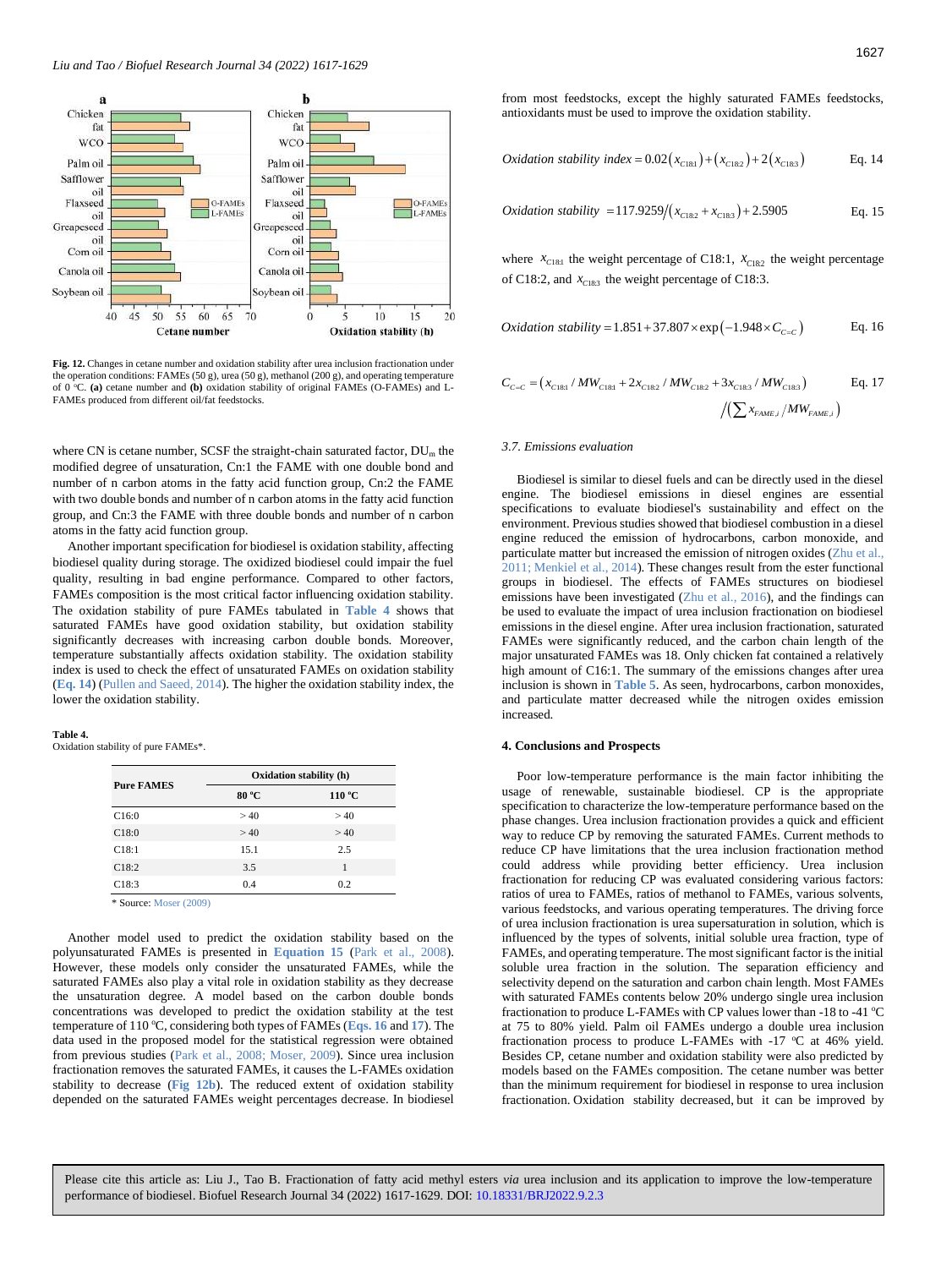

<span id="page-10-2"></span>Fig. 12. Changes in cetane number and oxidation stability after urea inclusion fractionation under the operation conditions: FAMEs (50 g), urea (50 g), methanol (200 g), and operating temperature C. (a) cetane number and (b) oxidation stability of original FAMEs (O-FAMEs) and L-FAMEs produced from different oil/fat feedstocks.

where CN is cetane number, SCSF the straight-chain saturated factor,  $DU_{m}$  the modified degree of unsaturation, Cn:1 the FAME with one double bond and number of n carbon atoms in the fatty acid function group, Cn:2 the FAME with two double bonds and number of n carbon atoms in the fatty acid function group, and Cn:3 the FAME with three double bonds and number of n carbon atoms in the fatty acid function group.

Another important specification for biodiesel is oxidation stability, affecting biodiesel quality during storage. The oxidized biodiesel could impair the fuel quality, resulting in bad engine performance. Compared to other factors, FAMEs composition is the most critical factor influencing oxidation stability. The oxidation stability of pure FAMEs tabulated in **[Table 4](#page-10-3)** shows that saturated FAMEs have good oxidation stability, but oxidation stability significantly decreases with increasing carbon double bonds. Moreover, temperature substantially affects oxidation stability. The oxidation stability index is used to check the effect of unsaturated FAMEs on oxidation stability (**[Eq.](#page-10-4) 14**) (Pullen and Saeed, 2014). The higher the oxidation stability index, the lower the oxidation stability.

### **Table 4.**

<span id="page-10-3"></span>Oxidation stability of pure FAMEs\*.

|                   | Oxidation stability (h) |        |  |  |
|-------------------|-------------------------|--------|--|--|
| <b>Pure FAMES</b> | 80 °C                   | 110 °C |  |  |
| C16:0             | >40                     | >40    |  |  |
| C18:0             | >40                     | >40    |  |  |
| C18:1             | 15.1                    | 2.5    |  |  |
| C18:2             | 3.5                     | 1      |  |  |
| C18:3             | 0.4                     | 0.2    |  |  |

\* Source: Moser (2009)

Another model used to predict the oxidation stability based on the polyunsaturated FAMEs is presented in **[Equation 15](#page-10-5)** (Park et al., 2008). However, these models only consider the unsaturated FAMEs, while the saturated FAMEs also play a vital role in oxidation stability as they decrease the unsaturation degree. A model based on the carbon double bonds concentrations was developed to predict the oxidation stability at the test temperature of 110 °C, considering both types of FAMEs ([Eqs. 16](#page-10-6) and [17](#page-10-7)). The data used in the proposed model for the statistical regression were obtained from previous studies (Park et al., 2008; Moser, 2009). Since urea inclusion fractionation removes the saturated FAMEs, it causes the L-FAMEs oxidation stability to decrease (**[Fig 12b](#page-10-2)**). The reduced extent of oxidation stability depended on the saturated FAMEs weight percentages decrease. In biodiesel from most feedstocks, except the highly saturated FAMEs feedstocks, antioxidants must be used to improve the oxidation stability.

<span id="page-10-4"></span>*Oxidation stability index* = 
$$
0.02(x_{c181}) + (x_{c182}) + 2(x_{c183})
$$
 Eq. 14

<span id="page-10-5"></span>*Oxidation stability* = 
$$
117.9259/(x_{C182} + x_{C183}) + 2.5905
$$
 Eq. 15

where  $x_{C18:1}$  the weight percentage of C18:1,  $x_{C18:2}$  the weight percentage of C18:2, and  $x_{C183}$  the weight percentage of C18:3.

<span id="page-10-6"></span>*Oxidation stability* = 
$$
1.851 + 37.807 \times \exp(-1.948 \times C_{C=C})
$$
 Eq. 16

<span id="page-10-7"></span>
$$
C_{C=C} = (x_{C181} / MW_{C181} + 2x_{C182} / MW_{C182} + 3x_{C183} / MW_{C183})
$$
 Eq. 17

### <span id="page-10-0"></span>*3.7. Emissions evaluation*

Biodiesel is similar to diesel fuels and can be directly used in the diesel engine. The biodiesel emissions in diesel engines are essential specifications to evaluate biodiesel's sustainability and effect on the environment. Previous studies showed that biodiesel combustion in a diesel engine reduced the emission of hydrocarbons, carbon monoxide, and particulate matter but increased the emission of nitrogen oxides (Zhu et al., 2011; Menkiel et al., 2014). These changes result from the ester functional groups in biodiesel. The effects of FAMEs structures on biodiesel emissions have been investigated (Zhu et al., 2016), and the findings can be used to evaluate the impact of urea inclusion fractionation on biodiesel emissions in the diesel engine. After urea inclusion fractionation, saturated FAMEs were significantly reduced, and the carbon chain length of the major unsaturated FAMEs was 18. Only chicken fat contained a relatively high amount of C16:1. The summary of the emissions changes after urea inclusion is shown in **[Table 5](#page-11-2)**. As seen, hydrocarbons, carbon monoxides, and particulate matter decreased while the nitrogen oxides emission increased.

# <span id="page-10-1"></span>**4. Conclusions and Prospects**

Poor low-temperature performance is the main factor inhibiting the usage of renewable, sustainable biodiesel. CP is the appropriate specification to characterize the low-temperature performance based on the phase changes. Urea inclusion fractionation provides a quick and efficient way to reduce CP by removing the saturated FAMEs. Current methods to reduce CP have limitations that the urea inclusion fractionation method could address while providing better efficiency. Urea inclusion fractionation for reducing CP was evaluated considering various factors: ratios of urea to FAMEs, ratios of methanol to FAMEs, various solvents, various feedstocks, and various operating temperatures. The driving force of urea inclusion fractionation is urea supersaturation in solution, which is influenced by the types of solvents, initial soluble urea fraction, type of FAMEs, and operating temperature. The most significant factor is the initial soluble urea fraction in the solution. The separation efficiency and selectivity depend on the saturation and carbon chain length. Most FAMEs with saturated FAMEs contents below 20% undergo single urea inclusion fractionation to produce L-FAMEs with CP values lower than -18 to -41  $^{\circ}$ C at 75 to 80% yield. Palm oil FAMEs undergo a double urea inclusion fractionation process to produce L-FAMEs with -17  $^{\circ}$ C at 46% yield. Besides CP, cetane number and oxidation stability were also predicted by models based on the FAMEs composition. The cetane number was better than the minimum requirement for biodiesel in response to urea inclusion fractionation. Oxidation stability decreased, but it can be improved by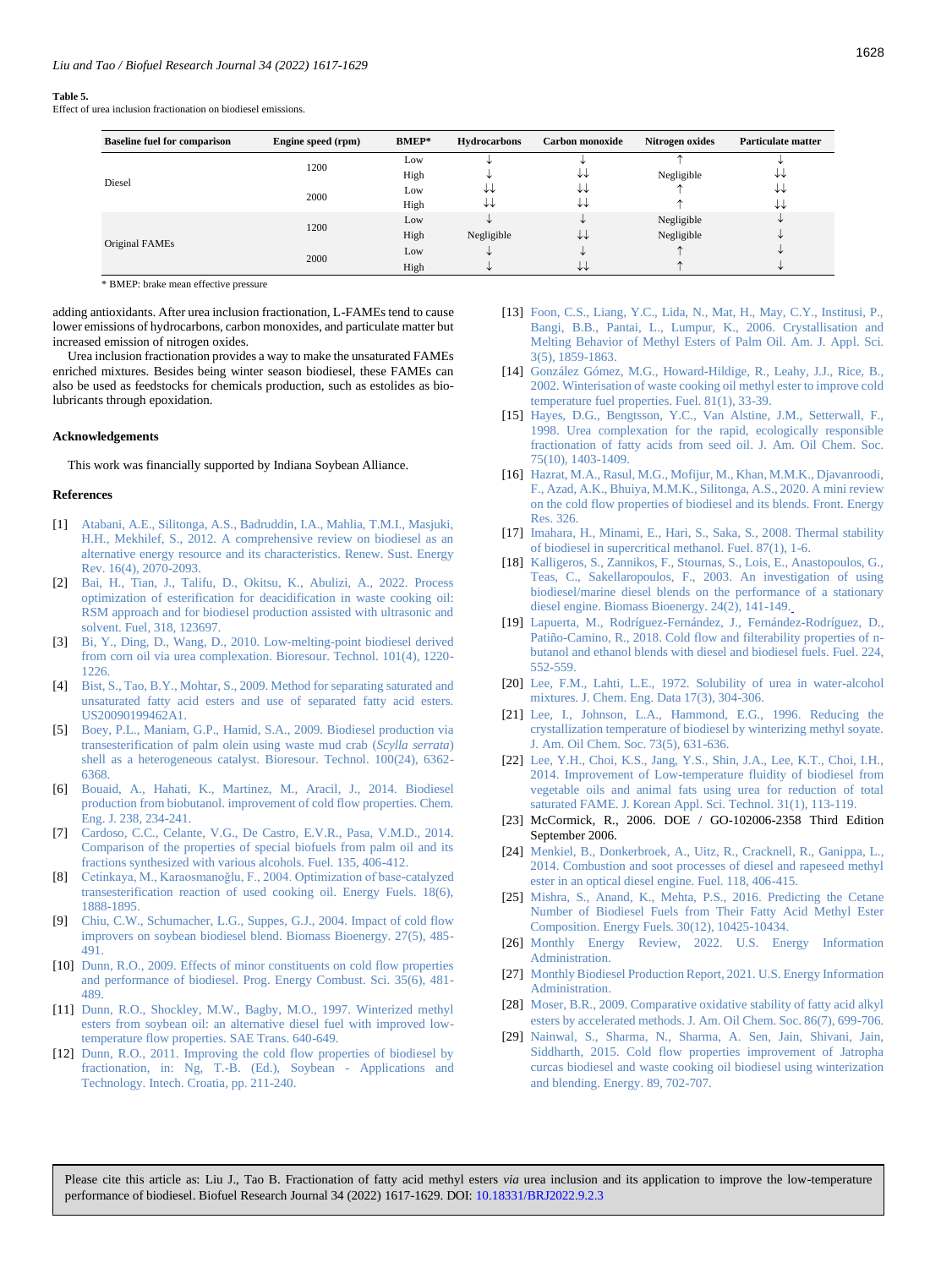#### <span id="page-11-2"></span>**Table 5.**

Effect of urea inclusion fractionation on biodiesel emissions.

| <b>Baseline fuel for comparison</b> | Engine speed (rpm) | <b>BMEP*</b> | <b>Hydrocarbons</b> | Carbon monoxide | Nitrogen oxides | <b>Particulate matter</b> |
|-------------------------------------|--------------------|--------------|---------------------|-----------------|-----------------|---------------------------|
|                                     | 1200               | Low          |                     |                 |                 |                           |
|                                     |                    | High         |                     | ₩               | Negligible      | ₩                         |
| Diesel                              | 2000               | Low          | ∗∗                  | ₩               |                 | ₩                         |
|                                     |                    | High         | ∗∗                  | ↓↓              |                 | ₩                         |
|                                     | 1200               | Low          |                     | ◡               | Negligible      | ◡                         |
|                                     |                    | High         | Negligible          | ↓↓              | Negligible      | ◡                         |
| Original FAMEs                      | 2000               | Low          |                     |                 |                 |                           |
|                                     |                    | High         |                     | ₩               |                 |                           |

\* BMEP: brake mean effective pressure

adding antioxidants. After urea inclusion fractionation, L-FAMEs tend to cause lower emissions of hydrocarbons, carbon monoxides, and particulate matter but increased emission of nitrogen oxides.

Urea inclusion fractionation provides a way to make the unsaturated FAMEs enriched mixtures. Besides being winter season biodiesel, these FAMEs can also be used as feedstocks for chemicals production, such as estolides as biolubricants through epoxidation.

#### <span id="page-11-0"></span>**Acknowledgements**

This work was financially supported by Indiana Soybean Alliance.

## <span id="page-11-1"></span>**References**

- [1] [Atabani, A.E., Silitonga, A.S., Badruddin, I.A., Mahlia, T.M.I., Masjuki,](https://www.sciencedirect.com/science/article/abs/pii/S1364032112000044)  [H.H., Mekhilef, S., 2012. A comprehensive review on biodiesel as an](https://www.sciencedirect.com/science/article/abs/pii/S1364032112000044)  [alternative energy resource and its characteristics. Renew. Sust. Energy](https://www.sciencedirect.com/science/article/abs/pii/S1364032112000044)  [Rev. 16\(4\), 2070-2093.](https://www.sciencedirect.com/science/article/abs/pii/S1364032112000044)
- [2] [Bai, H., Tian, J., Talifu, D., Okitsu, K., Abulizi, A., 2022. Process](https://doi.org/10.1016/j.fuel.2022.123697)  [optimization of esterification for deacidification in waste cooking oil:](https://doi.org/10.1016/j.fuel.2022.123697)  [RSM approach and for biodiesel production assisted with ultrasonic and](https://doi.org/10.1016/j.fuel.2022.123697)  [solvent. Fuel, 318, 123697.](https://doi.org/10.1016/j.fuel.2022.123697)
- [3] [Bi, Y., Ding, D., Wang, D., 2010. Low-melting-point biodiesel derived](https://www.sciencedirect.com/science/article/abs/pii/S0960852409012425)  [from corn oil via urea complexation. Bioresour. Technol. 101\(4\), 1220-](https://www.sciencedirect.com/science/article/abs/pii/S0960852409012425) [1226.](https://www.sciencedirect.com/science/article/abs/pii/S0960852409012425)
- [4] [Bist, S., Tao, B.Y., Mohtar, S., 2009. Method for separating saturated and](https://patents.google.com/patent/US20090199462A1/en)  [unsaturated fatty acid esters and use of separated fatty acid esters.](https://patents.google.com/patent/US20090199462A1/en)  [US20090199462A1.](https://patents.google.com/patent/US20090199462A1/en)
- [5] [Boey, P.L., Maniam, G.P., Hamid, S.A., 2009. Biodiesel production via](https://www.sciencedirect.com/science/article/abs/pii/S0960852409009043)  [transesterification of palm olein using waste mud crab \(](https://www.sciencedirect.com/science/article/abs/pii/S0960852409009043)*Scylla serrata*) [shell as a heterogeneous catalyst. Bioresour. Technol. 100\(24\), 6362-](https://www.sciencedirect.com/science/article/abs/pii/S0960852409009043) [6368.](https://www.sciencedirect.com/science/article/abs/pii/S0960852409009043)
- [6] [Bouaid, A., Hahati, K., Martinez, M., Aracil, J., 2014. Biodiesel](https://www.sciencedirect.com/science/article/abs/pii/S1385894713013405)  [production from biobutanol. improvement of cold flow properties. Chem.](https://www.sciencedirect.com/science/article/abs/pii/S1385894713013405)  [Eng. J. 238, 234-241.](https://www.sciencedirect.com/science/article/abs/pii/S1385894713013405)
- [7] [Cardoso, C.C., Celante, V.G., De Castro,](https://www.sciencedirect.com/science/article/pii/S0016236114006693) E.V.R., Pasa, V.M.D., 2014. [Comparison of the properties of special biofuels from palm oil and its](https://www.sciencedirect.com/science/article/pii/S0016236114006693)  [fractions synthesized with various alcohols. Fuel. 135, 406-412.](https://www.sciencedirect.com/science/article/pii/S0016236114006693)
- [8] [Cetinkaya, M., Karaosmanoǧlu, F., 2004. Optimization of base](https://pubs.acs.org/doi/abs/10.1021/ef049891c?casa_token=oph34ShJcDMAAAAA:qRhJU8oheyrteYlwPwgkEwEQEUFAnwM7WCakoj2J9ai9IC1sdoJFFxti27E9rDTEbpCEpVSIOmdU0MvM)-catalyzed [transesterification reaction of used cooking oil. Energy Fuels. 18\(6\),](https://pubs.acs.org/doi/abs/10.1021/ef049891c?casa_token=oph34ShJcDMAAAAA:qRhJU8oheyrteYlwPwgkEwEQEUFAnwM7WCakoj2J9ai9IC1sdoJFFxti27E9rDTEbpCEpVSIOmdU0MvM)  [1888-1895.](https://pubs.acs.org/doi/abs/10.1021/ef049891c?casa_token=oph34ShJcDMAAAAA:qRhJU8oheyrteYlwPwgkEwEQEUFAnwM7WCakoj2J9ai9IC1sdoJFFxti27E9rDTEbpCEpVSIOmdU0MvM)
- [9] [Chiu, C.W., Schumacher, L.G., Suppes, G.J., 2004. Impact of cold flow](https://www.sciencedirect.com/science/article/abs/pii/S0961953404000868)  [improvers on soybean biodiesel blend. Biomass Bioenergy. 27\(5\), 485-](https://www.sciencedirect.com/science/article/abs/pii/S0961953404000868) [491.](https://www.sciencedirect.com/science/article/abs/pii/S0961953404000868)
- [10] [Dunn, R.O., 2009. Effects of minor constituents on cold flow properties](https://www.sciencedirect.com/science/article/abs/pii/S0360128509000331)  [and performance of biodiesel. Prog. Energy Combust. Sci. 35\(6\), 481-](https://www.sciencedirect.com/science/article/abs/pii/S0360128509000331) [489.](https://www.sciencedirect.com/science/article/abs/pii/S0360128509000331)
- [11] Dunn, R.O., Shockley, M.W., Bagby, M.O., 1997. Winterized methyl [esters from soybean oil: an alternative diesel fuel with improved low](https://www.jstor.org/stable/44731599)[temperature flow properties. SAE Trans. 640-649.](https://www.jstor.org/stable/44731599)
- [12] Dunn, R.O., 2011. Improving the cold flow properties of biodiesel by fractionation, in: Ng, T.-B. [\(Ed.\), Soybean -](https://www.intechopen.com/chapters/15788) Applications and [Technology. Intech.](https://www.intechopen.com/chapters/15788) Croatia, pp. 211-240.
- [13] Foon, C.S., Liang, Y.C., Lida, N., Mat, H., May, C.Y., Institusi, P., [Bangi, B.B., Pantai, L., Lumpur, K., 2006. Crystallisation and](https://thescipub.com/pdf/ajassp.2006.1859.1863.pdf)  [Melting Behavior of Methyl Esters of Palm Oil. Am. J. Appl. Sci.](https://thescipub.com/pdf/ajassp.2006.1859.1863.pdf)  [3\(5\), 1859-1863.](https://thescipub.com/pdf/ajassp.2006.1859.1863.pdf)
- [14] [González Gómez, M.G., Howard-Hildige, R., Leahy, J.J., Rice, B.,](https://www.sciencedirect.com/science/article/abs/pii/S001623610100117X)  [2002. Winterisation of waste cooking oil methyl ester to improve cold](https://www.sciencedirect.com/science/article/abs/pii/S001623610100117X)  [temperature fuel properties. Fuel. 81\(1\), 33-39.](https://www.sciencedirect.com/science/article/abs/pii/S001623610100117X)
- [15] [Hayes, D.G., Bengtsson, Y.C., Van Alstine, J.M., Setterwall, F.,](https://link.springer.com/article/10.1007/s11746-998-0190-9)  [1998. Urea complexation for the rapid, ecologically responsible](https://link.springer.com/article/10.1007/s11746-998-0190-9)  [fractionation of fatty acids from seed oil. J. Am. Oil Chem. Soc.](https://link.springer.com/article/10.1007/s11746-998-0190-9)  [75\(10\), 1403-1409.](https://link.springer.com/article/10.1007/s11746-998-0190-9)
- [16] [Hazrat, M.A., Rasul, M.G., Mofijur, M., Khan, M.M.K., Djavanroodi,](https://www.frontiersin.org/articles/10.3389/fenrg.2020.598651/full)  [F., Azad, A.K., Bhuiya, M.M.K., Silitonga, A.S., 2020. A mini review](https://www.frontiersin.org/articles/10.3389/fenrg.2020.598651/full)  [on the cold flow properties of biodiesel and its blends. Front. Energy](https://www.frontiersin.org/articles/10.3389/fenrg.2020.598651/full)  [Res. 326.](https://www.frontiersin.org/articles/10.3389/fenrg.2020.598651/full)
- [17] [Imahara, H., Minami, E., Hari, S., Saka, S., 2008. Thermal stability](https://www.sciencedirect.com/science/article/abs/pii/S0016236107001767)  [of biodiesel in supercritical methanol. Fuel. 87\(1\), 1-6.](https://www.sciencedirect.com/science/article/abs/pii/S0016236107001767)
- [18] [Kalligeros, S., Zannikos, F., Stournas, S., Lois, E., Anastopoulos, G.,](https://www.sciencedirect.com/science/article/abs/pii/S0961953402000922)  [Teas, C., Sakellaropoulos, F., 2003. An investigation of using](https://www.sciencedirect.com/science/article/abs/pii/S0961953402000922)  [biodiesel/marine diesel blends on the performance of a stationary](https://www.sciencedirect.com/science/article/abs/pii/S0961953402000922)  [diesel engine. Biomass Bioenergy. 24\(2\), 141-149.](https://www.sciencedirect.com/science/article/abs/pii/S0961953402000922)
- [19] [Lapuerta, M., Rodríguez-Fernández, J., Fernández-Rodríguez, D.,](https://www.sciencedirect.com/science/article/pii/S0016236118304927)  [Patiño-Camino, R., 2018. Cold flow and filterability properties of n](https://www.sciencedirect.com/science/article/pii/S0016236118304927)[butanol and ethanol blends with diesel and biodiesel fuels. Fuel. 224,](https://www.sciencedirect.com/science/article/pii/S0016236118304927)  [552-559.](https://www.sciencedirect.com/science/article/pii/S0016236118304927)
- [20] Lee, F.M., Lahti, L.E., 1972. Solubility of urea in water-alcohol [mixtures. J. Chem. Eng. Data 17\(3\), 304-306.](https://pubs.acs.org/doi/pdf/10.1021/je60054a020)
- [21] Lee, I., Johnson, L.A., Hammond, E.G., 1996. Reducing the [crystallization temperature of biodiesel by winterizing methyl soyate.](https://aocs.onlinelibrary.wiley.com/doi/abs/10.1007/BF02518119)  [J. Am. Oil Chem. Soc. 73\(5\), 631-636.](https://aocs.onlinelibrary.wiley.com/doi/abs/10.1007/BF02518119)
- [22] [Lee, Y.H., Choi, K.S., Jang, Y.S., Shin, J.A., Lee, K.T., Choi, I.H.,](https://www.koreascience.or.kr/article/JAKO201418958178575.page)  [2014. Improvement of Low-temperature fluidity of biodiesel from](https://www.koreascience.or.kr/article/JAKO201418958178575.page)  [vegetable oils and animal fats using urea for reduction of total](https://www.koreascience.or.kr/article/JAKO201418958178575.page)  saturated FAME. J. Korean [Appl. Sci. Technol. 31\(1\), 113-119.](https://www.koreascience.or.kr/article/JAKO201418958178575.page)
- [23] McCormick, R., 2006. DOE / GO-102006-2358 Third Edition September 2006.
- [24] [Menkiel, B., Donkerbroek, A., Uitz, R., Cracknell, R., Ganippa, L.,](https://www.sciencedirect.com/science/article/abs/pii/S0016236113010235)  [2014. Combustion and soot processes of diesel and rapeseed methyl](https://www.sciencedirect.com/science/article/abs/pii/S0016236113010235)  [ester in an optical diesel engine. Fuel. 118, 406-415.](https://www.sciencedirect.com/science/article/abs/pii/S0016236113010235)
- [25] [Mishra, S., Anand, K., Mehta, P.S., 2016. Predicting the Cetane](https://pubs.acs.org/doi/abs/10.1021/acs.energyfuels.6b01343)  [Number of Biodiesel Fuels from Their Fatty Acid Methyl Ester](https://pubs.acs.org/doi/abs/10.1021/acs.energyfuels.6b01343)  [Composition. Energy Fuels. 30\(12\), 10425-10434.](https://pubs.acs.org/doi/abs/10.1021/acs.energyfuels.6b01343)
- [26] [Monthly Energy Review, 2022. U.S. Energy Information](https://www.eia.gov/totalenergy/data/monthly/pdf/mer.pdf)  [Administration.](https://www.eia.gov/totalenergy/data/monthly/pdf/mer.pdf)
- [27] [Monthly Biodiesel Production Report, 2021. U.S. Energy Information](https://www.eia.gov/biofuels/biodiesel/production/biodiesel.pdf) [Administration.](https://www.eia.gov/biofuels/biodiesel/production/biodiesel.pdf)
- [28] [Moser, B.R., 2009. Comparative oxidative stability of fatty acid alkyl](https://link.springer.com/article/10.1007/s11746-009-1376-5)  [esters by accelerated methods. J. Am. Oil Chem. Soc. 86\(7\), 699-706.](https://link.springer.com/article/10.1007/s11746-009-1376-5)
- [29] [Nainwal, S., Sharma, N., Sharma, A. Sen, Jain, Shivani, Jain,](https://www.sciencedirect.com/science/article/abs/pii/S0360544215007732)  [Siddharth, 2015. Cold flow properties improvement of Jatropha](https://www.sciencedirect.com/science/article/abs/pii/S0360544215007732)  [curcas biodiesel and waste cooking oil biodiesel using winterization](https://www.sciencedirect.com/science/article/abs/pii/S0360544215007732)  [and blending. Energy. 89, 702-707.](https://www.sciencedirect.com/science/article/abs/pii/S0360544215007732)